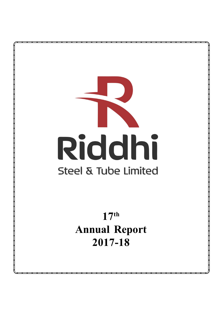

 $17<sup>th</sup>$ **Annual Report** 2017-18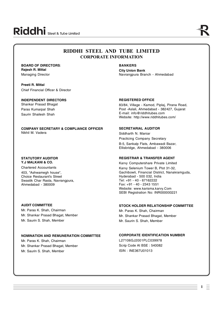## **RIDDHI STEEL AND TUBE LIMITED CORPORATE INFORMATION**

## **BOARD OF DIRECTORS**: **Rajesh R. Mittal**

Managing Director

**Preeti R. Mittal** Chief Financial Officer & Director

## **INDEPENDENT DIRECTORS**

Shankar Prasad Bhagat Paras Kumarpal Shah Saurin Shailesh Shah

#### **COMPANY SECRETARY & COMPLIANCE OFFICER** Nikhil M. Vadera

#### **STATUTORY AUDITOR Y.J MALKANI & CO.**

Chartered Accountants 403, "Ashwamegh house", Choice Restaurant's Street Swastik Char Rasta, Navrangpura,

## **AUDIT COMMITTEE**

Ahmedabad - 380009

Mr. Paras K. Shah, Chairman Mr. Shankar Prasad Bhagat, Member Mr. Saurin S. Shah, Member

## **NOMINATION AND REMUNERATION COMMITTEE**

Mr. Paras K. Shah, Chairman Mr. Shankar Prasad Bhagat, Member Mr. Saurin S. Shah, Member

## **BANKERS**

**City Union Bank** Navrangpura Branch - Ahmedabad

## **REGISTERED OFFICE**

83/84, Village - Kamod, Piplaj, Pirana Road, Post -Aslali, Ahmedabad - 382427, Gujarat E-mail: [info@riddhitubes.com](mailto:info@riddhitubes.com) Website: <http://www.riddhitubes.com/>

## **SECRETARIAL AUDITOR**

Siddharth N. Maniar Practicing Company Secretary B-5, Sankalp Flats, Ambawadi Bazar, Ellisbridge, Ahmedabad - 380006

## **REGISTRAR & TRANSFER AGENT**

Karvy Computershare Private Limited Karvy Selenium Tower B, Plot 31-32, Gachibowli, Financial District, Nanakramguda, Hyderabad - 500 032, India Tel: +91 - 40 - 67162222 Fax: +91 - 40 - 2343 1551 Website: [www.karisma.karvy.Com](http://www.karisma.karvy.Com) SEBI Registration No: INR000000221

## **STOCK HOLDER RELATIONSHIP COMMITTEE**

Mr. Paras K. Shah, Chairman Mr. Shankar Prasad Bhagat, Member Mr. Saurin S. Shah, Member

## **CORPORATE IDENTIFICATION NUMBER**

L27106GJ2001PLC039978 Scrip Code At BSE : 540082 ISIN : INE367U01013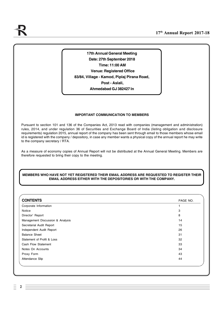**17th Annual General Meeting Date: 27th September 2018 Time: 11:00 AM Venue: Registered Office 83/84, Village - Kamod, Piplaj Pirana Road, Post - Aslali, Ahmedabad GJ 382427 In**

## **IMPORTANT COMMUNICATION TO MEMBERS**

Pursuant to section 101 and 136 of the Companies Act, 2013 read with companies (management and administration) rules, 2014, and under regulation 36 of Securities and Exchange Board of India (listing obligation and disclosure requirements) regulation 2015, annual report of the company has been sent through email to those members whose email id is registered with the company / depository, in case any member wants a physical copy of the annual report he may write to the company secretary / RTA.

As a measure of economy copies of Annual Report will not be distributed at the Annual General Meeting. Members are therefore requested to bring their copy to the meeting.

## **MEMBERS WHO HAVE NOT YET REGISTERED THEIR EMAIL ADDRESS ARE REQUESTED TO REGISTER THEIR EMAIL ADDRESS EITHER WITH THE DEPOSITORIES OR WITH THE COMPANY.**

| <b>CONTENTS</b>                  | PAGE NO. |
|----------------------------------|----------|
| Corporate Information            | 1        |
| Notice                           | 3        |
| Director' Report                 | 8        |
| Management Discussion & Analysis | 14       |
| Secretarial Audit Report         | 15       |
| Independent Audit Report         | 26       |
| <b>Balance Sheet</b>             | 31       |
| Statement of Profit & Loss       | 32       |
| Cash Flow Statement              | 33       |
| Notes On Accounts                | 34       |
| Proxy Form                       | 43       |
| Attendance Slip                  | 44       |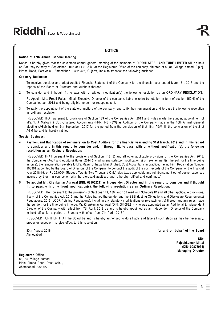## **NOTICE**

#### **Notice of 17th Annual General Meeting**

Notice is hereby given that the seventeen annual general meeting of the members of **RIDDHI STEEL AND TUBE LIMITED** will be held on Saturday 27thday of September, 2018 at 11.00 A.M. at the Registered Office of the company, situated at 83,84, Village Kamod, Piplaj-Pirana Road, Post-Aslali, Ahmedabad - 382 427, Gujarat, India to transact the following business.

#### **Ordinary Business:**

- 1. To receive, consider and adopt Audited Financial Statement of the Company for the financial year ended March 31, 2018 and the reports of the Board of Directors and Auditors thereon.
- 2. To consider and if thought fit, to pass with or without modification(s) the following resolution as an ORDINARY RESOLUTION:

Re-Appoint Mrs. Preeti Rajesh Mittal, Executive Director of the company, liable to retire by rotation in term of section 152(6) of the Companies act, 2013 and being eligible herself for reappointment.

3. To ratify the appointment of the statutory auditors of the company, and to fix their remuneration and to pass the following resolution as ordinary resolution:

"RESOLVED THAT pursuant to provisions of Section 139 of the Companies Act, 2013 and Rules made thereunder, appointment of M/s. Y. J. Malkani & Co., Chartered Accountants (FRN: 143143W) as Auditors of the Company made in the 16th Annual General Meeting (AGM) held on 9th September, 2017 for the period from the conclusion of that 16th AGM till the conclusion of the 21st AGM be and is hereby ratified.

#### **Special Business:**

**4. Payment and Ratification of remuneration to Cost Auditors for the financial year ending 31st March, 2019 and in this regard to consider and in this regard to consider and, if through fit, to pass, with or without modification(s), the following resolution as an Ordinary Resolution:**

"RESOLVED THAT pursuant to the provisions of Section 148 (3) and all other applicable provisions of the Companies Act, 2013, the Companies (Audit and Auditors) Rules, 2014 (including any statutory modification(s) or re-enactment(s) thereof, for the time being in force), the remuneration payable to M/s. Mayur Chhaganbhai Undhad, Cost Accountants in practice, having Firm Registration Number 103961 appointed by the Board of Directors of the Company, to conduct the audit of the cost records of the Company for the financial year 2018-19, of Rs 22,000/- (Rupees Twenty Two Thousand Only) plus taxes applicable and reimbursement out of pocket expenses incurred by them, in connection with the aforesaid audit are and is hereby ratified and confirmed."

**5. To appoint Mr. Kirankumar Agrawal (DIN: 08105221) as Independent Director and in this regard to consider and if thought fit, to pass, with or without modification(s), the following resolution as an Ordinary Resolution:**

"RESOLVED THAT pursuant to the provisions of Sections 149, 150, and 152 read with Schedule IV and all other applicable provisions, if any, of the Companies Act, 2013 and the Rules framed thereunder and the SEBI (Listing Obligations and Disclosure Requirements) Regulations, 2015 (LODR / Listing Regulations), including any statutory modifications or re-enactment(s) thereof and any rules made thereunder, for the time being in force, Mr. Kirankumar Agrawal (DIN: 08105221), who was appointed as an Additional & Independent Director of the Company with effect from 7th April, 2018 be and is hereby appointed as an Independent Director of the Company to hold office for a period of 5 years with effect from 7th April, 2018."

RESOLVED FURTHER THAT the Board be and is hereby authorized to do all acts and take all such steps as may be necessary, proper or expedient to give effect to this resolution.

Ahmedabad

30th August 2018 **for and on behalf of the Board**

**SD/- Rajeshkumar Mittal (DIN- 00878934) Managing Director**

**Registered Office** 83, 84, Village Kamod, Piplaj-Pirana Road, Post -Aslali, Ahmedabad- 382 427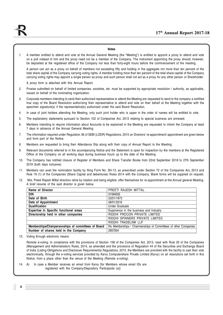#### **Notes**

1. A member entitled to attend and vote at the Annual General Meeting (the "Meeting") is entitled to appoint a proxy to attend and vote on a poll instead of him and the proxy need not be a member of the Company. The instrument appointing the proxy should, however, be deposited at the registered office of the Company not less than forty-eight hours before the commencement of the meeting.

A person can act as a proxy on behalf of members not exceeding fifty and holding in the aggregate not more than ten percent of the total share capital of the Company carrying voting rights. A member holding more than ten percent of the total share capital of the Company carrying voting rights may appoint a single person as proxy and such person shall not act as a proxy for any other person or Shareholder.

A proxy form is attached with this Annual Report.

- 2. Proxies submitted on behalf of limited companies, societies, etc. must be supported by appropriate resolution / authority, as applicable, issued on behalf of the nominating organization.
- 3. Corporate members intending to send their authorized representative to attend the Meeting are requested to send to the company a certified true copy of the Board Resolution authorizing their representative to attend and vote on their behalf at the Meeting together with the specimen signature(s) if the representative(s) authorized under the said Board Resolution.
- 4. In case of joint holders attending the Meeting, only such joint holder who is upper in the order of names will be entitled to vote.
- 5. The explanatory statements pursuant to Section 102 of Companies Act, 2013 relating to special business are annexed.
- 6. Members intending to require information about Accounts to be explained in the Meeting are requested to inform the Company at least 7 days in advance of the Annual General Meeting.
- 7. The information required under Regulation 36 of SEBI (LODR) Regulations, 2015 on Directors' re-appointment/ appointment are given below and form part of the Notice.
- 8. Members are requested to bring their Attendance Slip along with their copy of Annual Report to the Meeting.
- 9. Relevant documents referred to in the accompanying Notice and the Statement is open for inspection by the members at the Registered Office of the Company on all working days during business hours up to the date of the Meeting.
- 10. The Company has notified closure of Register of Members and Share Transfer Books from 22nd September 2018 to 27th September 2018 (both days inclusive).
- 11. Members can avail the nomination facility by filing Form No. SH-13, as prescribed under Section 72 of the Companies Act, 2013 and Rule 19 (1) of the Companies (Share Capital and debentures) Rules 2014 with the Company. Blank forms will be supplied on request.
- 12. Mrs. Preeti Rajesh Mittal directors retire by rotation and being eligible; offer themselves for re-appointment at the Annual general Meeting. A brief resume of the said director is given below.

| PREETI RAJESH MITTAL                                            |
|-----------------------------------------------------------------|
| 01594555                                                        |
| 23/01/1973                                                      |
| 08/01/2016                                                      |
| <b>Under Graduate</b>                                           |
| Experience in the business and Industry                         |
| RIDDHI PROCON PRIVATE LIMITED                                   |
| RIDDHI SPINNERS PRIVATE LIMITED                                 |
| RIDDHI TRADELINK LLP                                            |
| No Memberships / Chairmanships of Committees of other Companies |
| 2957004                                                         |
|                                                                 |

13. Voting through electronic means:

Remote e-voting: In compliance with the provisions of Section 108 of the Companies Act, 2013, read with Rule 20 of the Companies (Management and Administration) Rules, 2014, as amended and the provisions of Regulation 44 of the Securities and Exchange Board of India (Listing Obligations and Disclosure Requirements) Regulations, 2015, the Members are provided with the facility to cast their vote electronically, through the e-voting services provided by Karvy Computershare Private Limited (Karvy) on all resolutions set forth in this Notice, from a place other than the venue of the Meeting (Remote e-voting).

14. A) In case a Member receives an email from Karvy [for Members whose email IDs are registered with the Company/Depository Participants (s)]: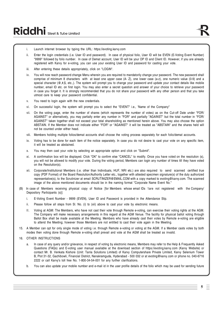- i. Launch internet browser by typing the URL: <https://evoting.karvy.com>
- ii. Enter the login credentials (i.e. User ID and password). In case of physical folio, User ID will be EVEN (E-Voting Event Number) "9999" followed by folio number. In case of Demat account, User ID will be your DP ID and Client ID. However, if you are already registered with Karvy for e-voting, you can use your existing User ID and password for casting your vote.
- iii. After entering these details appropriately, click on "LOGIN".
- iv. You will now reach password change Menu wherein you are required to mandatorily change your password. The new password shall comprise of minimum 8 characters with at least one upper case (A- Z), one lower case (a-z), one numeric value (0-9) and a special character ( $@$ ,#,\$, etc.). The system will prompt you to change your password and update your contact details like mobile number, email ID etc. on first login. You may also enter a secret question and answer of your choice to retrieve your password in case you forget it. It is strongly recommended that you do not share your password with any other person and that you take utmost care to keep your password confidential.
- v. You need to login again with the new credentials.
- vi. On successful login, the system will prompt you to select the "EVENT" i.e., 'Name of the Company"
- vii. On the voting page, enter the number of shares (which represents the number of votes) as on the Cut-off Date under "FOR/ AGAINST" or alternatively, you may partially enter any number in "FOR" and partially "AGAINST" but the total number in "FOR/ AGAINST" taken together shall not exceed your total shareholding as mentioned herein above. You may also choose the option ABSTAIN. If the Member does not indicate either "FOR" or "AGAINST" it will be treated as "ABSTAIN" and the shares held will not be counted under either head.
- viii. Members holding multiple folios/demat accounts shall choose the voting process separately for each folio/demat accounts.
- ix. Voting has to be done for each item of the notice separately. In case you do not desire to cast your vote on any specific item, it will be treated as abstained.
- x. You may then cast your vote by selecting an appropriate option and click on "Submit".
- xi. A confirmation box will be displayed. Click "OK" to confirm else "CANCEL" to modify. Once you have voted on the resolution (s), you will not be allowed to modify your vote. During the voting period, Members can login any number of times till they have voted on the Resolution(s).
- xii. Corporate/Institutional Members (i.e. other than Individuals, HUF, NRI etc.) are also required to send scanned certified true copy (PDF Format) of the Board Resolution/Authority Letter etc., together with attested specimen signature(s) of the duly authorized representative(s), to the Scrutinizer at email SCRUTINIZER@EMAIL.COM with a copy marked to [evoting@karvy.com.](mailto:evoting@karvy.com.) The scanned image of the above mentioned documents should be in the naming format "Corporate Name Event No."
- (B) In case of Members receiving physical copy of Notice [for Members whose email IDs 1are not registered with the Company/ Depository Participants (s)]:
	- i. E-Voting Event Number 9999 (EVEN), User ID and Password is provided in the Attendance Slip.
	- ii. Please follow all steps from Sl. No. (i) to (xii) above to cast your vote by electronic means.
	- II. Voting at AGM: The Members, who have not cast their vote through Remote e-voting, can exercise their voting rights at the AGM. The Company will make necessary arrangements in this regard at the AGM Venue. The facility for physical ballot voting through Ballot Box shall be made available at the Meeting. Members who have already cast their votes by Remote e-voting are eligible to attend the Meeting; however those Members are not entitled to cast their vote again in the Meeting.
- 15. A Member can opt for only single mode of voting i.e. through Remote e-voting or voting at the AGM. If a Member casts votes by both modes then voting done through Remote e-voting shall prevail and vote at the AGM shall be treated as invalid.
- 16. OTHER INSTRUCTIONS
	- a. In case of any query and/or grievance, in respect of voting by electronic means, Members may refer to the Help & Frequently Asked Questions (FAQs) and E-voting user manual available at the download section of <https://evoting.karvy.com>(Karvy Website) or contact Mr. B. Venkata Kishore (Unit: Tanla Solutions Limited) of Karvy Computershare Private Limited, Karvy Selenium Tower B, Plot 31-32, Gachibowli, Financial District, Nanakramguda, Hyderabad - 500 032 or at [evoting@karvy.com](mailto:evoting@karvy.com) or phone no. 040-6716 2222 or call Karvy's toll free No. 1-800-34-54-001 for any further clarifications.
	- b. You can also update your mobile number and e-mail id in the user profile details of the folio which may be used for sending future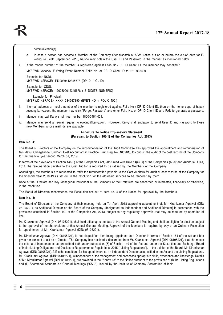communication(s).

- c. In case a person has become a Member of the Company after dispatch of AGM Notice but on or before the cut-off date for Evoting i.e., 20th September, 2018, he/she may obtain the User ID and Password in the manner as mentioned below :
- i. If the mobile number of the member is registered against Folio No./ DP ID Client ID, the member may sendSMS:

MYEPWD <space> E-Voting Event Number+Folio No. or DP ID Client ID to 9212993399

Example for NSDL: MYEPWD <SPACE> IN30039412345678 (DP-ID + CL-ID)

Example for CDSL: MYEPWD <SPACE> 1202300012345678 (16 DIGITS NUMERIC)

 Example for Physical: MYEPWD <SPACE> XXXX1234567890 (EVEN NO + FOLIO NO.)

- j. If e-mail address or mobile number of the member is registered against Folio No / DP ID Client ID, then on the home page of https:/ /evoting.karvy.com, the member may click "Forgot Password" and enter Folio No. or DP ID Client ID and PAN to generate a password.
- ii. Member may call Karvy's toll free number 1800-3454-001.
- iv. Member may send an e-mail request to [evoting@karvy.com.](mailto:evoting@karvy.com.) However, Karvy shall endeavor to send User ID and Password to those new Members whose mail ids are available.

#### **Annexure To Notice Explanatory Statement (Pursuant to Section 102(1) of the Companies Act, 2013)**

#### **Item No. 4:**

The Board of Directors of the Company on the recommendation of the Audit Committee has approved the appointment and remuneration of M/s Mayur Chhaganbhai Undhah, Cost Accountant in Practice (Firm Reg. No. 103961), to conduct the audit of the cost records of the Company for the financial year ended March 31, 2019.

In terms of the provisions of Section 148(3) of the Companies Act, 2013 read with Rule 14(a) (ii) of the Companies (Audit and Auditors) Rules, 2014, the remuneration payable to the Cost Auditor is required to be ratified by the Members of the Company.

Accordingly, the members are requested to ratify the remuneration payable to the Cost Auditors for audit of cost records of the Company for the financial year 2018-19 as set out in the resolution for the aforesaid services to be rendered by them.

None of the Directors and Key Managerial Personnel of the Company or their relatives are concerned or interested, financially or otherwise, in the resolution.

The Board of Directors recommends the Resolution set out at Item No. 4 of the Notice for approval by the Members.

**Item No. 5:**

The Board of Directors of the Company at their meeting held on 7th April, 2018 approving appointment of, Mr. Kirankumar Agrawal (DIN: 08105221), as Additional Director on the Board of the Company (designated as Independent and Additional Director) in accordance with the provisions contained in Section 149 of the Companies Act, 2013, subject to any regulatory approvals that may be required by operation of law.

Mr. Kirankumar Agrawal (DIN: 08105221), shall hold office up to the date of the Annual General Meeting and shall be eligible for election subject to the approval of the shareholders at this Annual General Meeting. Approval of the Members is required by way of an Ordinary Resolution for appointment of Mr. Kirankumar Agrawal (DIN: 08105221).

Mr. Kirankumar Agrawal (DIN: 08105221), is not disqualified from being appointed as a Director in terms of Section 164 of the Act and has given her consent to act as a Director. The Company has received a declaration from Mr. Kirankumar Agrawal (DIN: 08105221), that she meets the criteria of independence as prescribed both under sub-section (6) of Section 149 of the Act and under the Securities and Exchange Board of India (Listing Obligations and Disclosure Requirements) Regulations, 2015 ("Listing Regulations"). In the opinion of the Board, Mr. Kirankumar Agrawal (DIN: 08105221), fulfils the conditions for his appointment as an Independent Director as specified in the Act and the Listing Regulations. Mr. Kirankumar Agrawal (DIN: 08105221), is independent of the management and possesses appropriate skills, experience and knowledge. Details of Mr. Kirankumar Agrawal (DIN: 08105221), are provided in the "Annexure" to the Notice pursuant to the provisions of (i) the Listing Regulations and (ii) Secretarial Standard on General Meetings ("SS-2"), issued by the Institute of Company Secretaries of India.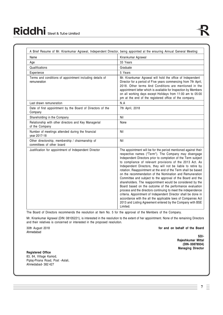| Name                                                                          | Kirankumar Agrawal                                                                                                                                                                                                                                                                                                                                                                                                                                                                                                                                                                                                                                                                                                                                                                                                                                                                                                   |
|-------------------------------------------------------------------------------|----------------------------------------------------------------------------------------------------------------------------------------------------------------------------------------------------------------------------------------------------------------------------------------------------------------------------------------------------------------------------------------------------------------------------------------------------------------------------------------------------------------------------------------------------------------------------------------------------------------------------------------------------------------------------------------------------------------------------------------------------------------------------------------------------------------------------------------------------------------------------------------------------------------------|
| Age                                                                           | 33 Years                                                                                                                                                                                                                                                                                                                                                                                                                                                                                                                                                                                                                                                                                                                                                                                                                                                                                                             |
| Qualifications                                                                | Graduate                                                                                                                                                                                                                                                                                                                                                                                                                                                                                                                                                                                                                                                                                                                                                                                                                                                                                                             |
| Experience                                                                    | 5 Years                                                                                                                                                                                                                                                                                                                                                                                                                                                                                                                                                                                                                                                                                                                                                                                                                                                                                                              |
| Terms and conditions of appointment including details of<br>remuneration      | Mr. Kirankumar Agrawal will hold the office of Independent<br>Director for a period of Five years commencing from 7th April,<br>2018. Other terms And Conditions are mentioned in the<br>appointment letter which is available for Inspection by Members<br>on all working days except Holidays from 11:00 am to 05:00<br>pm at the end of the registered office of the company.                                                                                                                                                                                                                                                                                                                                                                                                                                                                                                                                     |
| Last drawn remuneration                                                       | N.A                                                                                                                                                                                                                                                                                                                                                                                                                                                                                                                                                                                                                                                                                                                                                                                                                                                                                                                  |
| Date of first appointment by the Board of Directors of the<br>Company         | 7th April, 2018                                                                                                                                                                                                                                                                                                                                                                                                                                                                                                                                                                                                                                                                                                                                                                                                                                                                                                      |
| Shareholding in the Company                                                   | Nil                                                                                                                                                                                                                                                                                                                                                                                                                                                                                                                                                                                                                                                                                                                                                                                                                                                                                                                  |
| Relationship with other directors and Key Managerial<br>of the Company        | None                                                                                                                                                                                                                                                                                                                                                                                                                                                                                                                                                                                                                                                                                                                                                                                                                                                                                                                 |
| Number of meetings attended during the financial<br>year 2017-18              | Nil                                                                                                                                                                                                                                                                                                                                                                                                                                                                                                                                                                                                                                                                                                                                                                                                                                                                                                                  |
| Other directorship, membership / chairmanship of<br>committees of other board | Nil                                                                                                                                                                                                                                                                                                                                                                                                                                                                                                                                                                                                                                                                                                                                                                                                                                                                                                                  |
| Justification for appointment of Independent Director                         | The appointment will be for the period mentioned against their<br>respective names ("Term"). The Company may disengage<br>Independent Directors prior to completion of the Term subject<br>to compliance of relevant provisions of the 2013 Act. As<br>Independent Directors, they will not be liable to retire by<br>rotation. Reappointment at the end of the Term shall be based<br>on the recommendation of the Nomination and Remuneration<br>Committee and subject to the approval of the Board and the<br>shareholders. The reappointment would be considered by the<br>Board based on the outcome of the performance evaluation<br>process and the directors continuing to meet the independence<br>criteria. Appointment of Independent Director shall be done in<br>accordance with the all the applicable laws of Companies Act<br>2013 and Listing Agreement entered by the Company with BSE<br>Limited. |

The Board of Directors recommends the resolution at Item No. 5 for the approval of the Members of the Company.

Mr. Kirankumar Agrawal (DIN: 08105221), is interested in the resolution to the extent of her appointment. None of the remaining Directors and their relatives is concerned or interested in the proposed resolution.

Ahmedabad

30th August 2018 **for and on behalf of the Board**

**SD/- Rajeshkumar Mittal (DIN- 00878934) Managing Director**

**Registered Office** 83, 84, Village Kamod, Piplaj-Pirana Road, Post -Aslali, Ahmedabad- 382 427

> **7** Ξ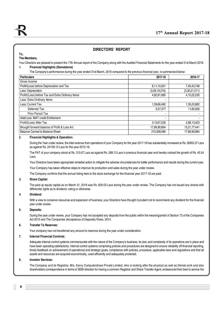## **DIRECTORS' REPORT**

#### **To, The Members,**

Your Directors are pleased to present the 17th Annual report of the Company along with the Audited Financial Statements for the year ended 31st March 2018.

## **1. Financial Highlights (Standalone)**

The Company's performance during the year ended 31st March, 2018 compared to the previous financial year, is summarized below:

| <b>Particulars</b>                                | 2017-18       | 2016-17       |
|---------------------------------------------------|---------------|---------------|
| Gross Income                                      |               |               |
| Profit/(Loss) before Depreciation and Tax         | 8,11,10,301   | 7,45,43,746   |
| Less: Depreciation                                | (3,28,19,216) | (3,30,21,511) |
| Profit/(Loss) before Tax and Extra Ordinary Items | 4,82,91,085   | 4,15,22,235   |
| Less: Extra Ordinary Items                        |               |               |
| Less: Current Tax                                 | 1,59,66,482   | 1,35,25,882   |
| Deferred Tax                                      | 9.57.377      | 11.82.930     |
| <b>Prior Period Tax</b>                           | -             |               |
| Add/Less: MAT credit Entitlement                  | -             |               |
| Profit/(Loss) After Tax                           | 3,13,67,226   | 2,68,13,423   |
| Brought forward balance of Profit & Loss A/c      | 17,89,90,864  | 15,21,77,441  |
| Balance Carried to Balance Sheet                  | 210,358,090   | 17,89,90,864  |

#### **2. Financial Highlights & Operation:**

During the Year under review, the total revenue from operations of your Company for the year 2017-18 has substantially increased at Rs. 26953.37 Lacs as against Rs. 24158.12 Lacs for the year 2015-16.

The PAT of your company stood at Rs. 313.67 Lacs as against Rs. 268.13 Lacs in previous financial year and hereby noticed the growth of Rs. 45.54 Lacs.

Your Directors have taken appropriate remedial action to mitigate the adverse circumstances for better performance and results during the current year.

Your Company has taken effective steps to improve its production and sales during the year under review.

The Company confirms that the annual listing fees to the stock exchange for the financial year 2017-18 are paid.

#### **3. Share Capital:**

The paid up equity capital as on March 31, 2018 was Rs. 829.03 Lacs during the year under review. The Company has not issued any shares with differential rights as to dividend, voting or otherwise.

#### **4. Dividend:**

With a view to conserve resources and expansion of business, your Directors have thought it prudent not to recommend any dividend for the financial year under review.

#### **5. Deposits:**

During the year under review, your Company has not accepted any deposits from the public within the meaning/ambit of Section 73 of the Companies Act 2013 and The Companies (Acceptance of Deposits) Rules, 2014.

#### **6. Transfer To Reserves:**

Your company has not transferred any amount to reserves during the year under consideration.

#### **7. Internal Financial Controls:**

Adequate internal control systems commensurate with the nature of the Company's business, its size, and complexity of its operations are in place and have been operating satisfactorily. Internal control systems comprising policies and procedures are designed to ensure reliability off financial reporting, timely feedback on achievement of operational and strategic goals, compliance with policies, procedure, applicable laws and regulations and that all assets and resources are acquired economically, used efficiently and adequately protected.

#### **8. Investor Services:**

**8**

The Company and its Registrar, M/s. Karvy Computershare Private Limited, who is looking after the physical as well as Demat work and also shareholders correspondence in terms of SEBI direction for having a common Registrar and Share Transfer Agent, endeavored their best to service the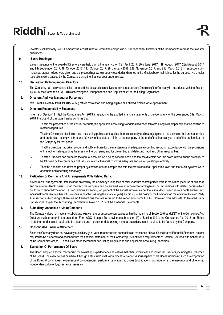Investors satisfactorily. Your Company has constituted a Committee comprising of 3 Independent Directors of the Company to redress the Investor grievances.

#### **9. Board Meetings:**

Eleven meetings of the Board of Directors were held during the year viz. on 1ST April, 2017, 30th June, 2017, 11th August, 2017, 23rd August, 2017 and 9th September, 2017, 4th October 2017, 13th October 2017, 9th January 2018, 24th November 2017, and 25th March 2018 In respect of such meetings, proper notices were given and the proceedings were properly recorded and signed in the Minutes book maintained for the purpose. No circular resolutions were passed by the Company during the financial year under review.

#### **10. Declaration By Independent Directors:**

The Company has received and takes on record the declarations received from the Independent Directors of the Company in accordance with the Section 149(6) of the Companies Act, 2013 confirming their independence and Regulation 25 of the Listing Regulations.

#### **11. Directors And Key Managerial Personnel:**

Mrs. Preeti Rajesh Mittal (DIN: 01594555) retires by rotation and being eligible has offered himself for re-appointment.

#### **12. Directors Responsibility Statement:**

In terms of Section134(5)of the Companies Act, 2013, in relation to the audited financial statements of the Company for the year ended 31st March, 2018, the Board of Directors hereby confirms that:

- I. That in the preparation of the annual accounts, the applicable accounting standards had been followed along with proper explanation relating to material departures.
- II. That the Directors had selected such accounting policies and applied them consistently and made judgments and estimates that are reasonable and prudent so as to give a true and fair view of the state of affairs of the company at the end of the financial year and of the profit or loss of the Company for that period.
- III. That the Directors had taken proper and sufficient care for the maintenance of adequate accounting records in accordance with the provisions of this Act for safe guarding the assets of the Company and for preventing and detecting fraud and other irregularities.
- IV. That the Directors had prepared the annual accounts on a going concern basis and that the directors had laid down internal financial control to be followed by the company and that such internal financial control is adequate and were operating effectively.
- V. That the directors had devised proper systems to ensure compliance with the provisions of all applicable laws and that such systems were adequate and operating effectively.

#### **13. Particulars Of Contracts And Arrangements With Related Party:**

All contracts / arrangements / transactions entered by the Company during the financial year with related parties were in the ordinary course of business and on an arm's length basis. During the year, the company had not entered into any contract or arrangement or transactions with related parties which could be considered 'material' (i.e. transactions exceeding ten percent of the annual turnover as per the last audited financial statements entered into individually or taken together with previous transactions during the financial year) according to the policy of the Company on materiality of Related Party Transactions. Accordingly, there are no transactions that are required to be reported in form AOC-2. However, you may refer to Related Party transactions, as per the Accounting Standards, in Note No. 21.5 of the Financial Statements.

#### **14. Subsidiary, Associate or Joint Company**

The Company does not have any subsidiary, joint venture or associate companies within the meaning of Section2 (6) and 2(87) of the Companies Act, 2013. As such, a report in the prescribed Form AOC -1 as per first proviso to sub-section (3) of Section 129 of the Companies Act, 2013 and Rules made thereunder is not required to be attached and a policy for determining material subsidiary is not required to be framed by the Company.

#### **15. Consolidated Financial Statement**

Since the Company does not have any subsidiary, joint venture or associate companies as mentioned above, Consolidated Financial Statement are not required to be prepared and attached with the financial statement of the Company pursuant to the requirements of Section 129 read with Schedule III of the Companies Act, 2013 and Rules made thereunder and Listing Regulations and applicable Accounting Standards.

#### **16. Evaluation Of Performance Of Board:**

The Board adopted a formal mechanism for evaluating its performance as well as that of its Committees and individual Directors, including the Chairman of the Board. The exercise was carried out through a structured evaluation process covering various aspects of the Board functioning such as composition of the Board & committees, experience & competencies, performance of specific duties & obligations, contribution at the meetings and otherwise, independent judgment, governance issues etc.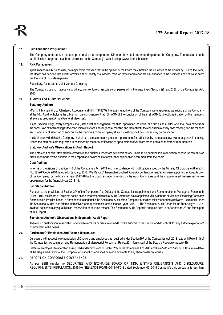#### **17. Familiarisation Programme :**

The Company undertook various steps to make the Independent Directors have full understanding about the Company. The details of such familiarization programs have been disclosed on the Company's website:<http://www.riddhitubes.com>

#### **18. Risk Management:**

Apart from normal business risk, no major risk is foreseen that in the opinion of the Board may threaten the existence of the Company. During the Year, the Board has decided that Audit Committee shall identify risk, assess, monitor, review and report the risk engaged in the business and shall also carry out the role of Risk Management.

Subsidiary, Associate or Joint Venture Company

The Company does not have any subsidiary, joint venture or associate companies within the meaning of Section 2(6) and 2(87) of the Companies Act, 2013.

#### **19. Auditors And Auditors' Report:**

#### **Statutory Auditor:**

M/s. Y. J. Malkani & Co., Chartered Accountants (FRN:143143W), the existing auditors of the Company were appointed as auditors of the Company at the 16th AGM for holding the office from the conclusion of that 16th AGM till the conclusion of the 21st AGM (Subject to ratification by the members at every subsequent Annual General Meetings).

As per Section 139(1) every company shall, at the first annual general meeting, appoint an individual or a firm as an auditor who shall hold office from the conclusion of that meeting till the conclusion of its sixth annual general meeting and thereafter till the conclusion of every sixth meeting and the manner and procedure of selection of auditors by the members of the company at such meeting shall be such as may be prescribed.

It is further provided that the Company shall place the matter relating to such appointment for ratification by members at every annual general meeting. Hence the members are requested to consider the matter of ratification of appointment of Auditors made and also to fix their remuneration.

#### **Statutory Auditor's Observations in Audit Report:**

The notes on financial statement referred to in the auditor's report are self-explanatory. There is no qualification, reservation or adverse remarks or disclaimer made by the auditors in their report and do not call for any further explanation / comment from the board.

#### **Cost Auditor:**

In terms of provisions of Section 148 of the Companies Act, 2013 and in accordance with notification issued by the Ministry Of Corporate Affairs, F. No. 52 /26/ CAB - 2010 dated 24th January, 2012, M/s Mayur Chhaganbhai Undhad, Cost Accountants, Ahmedabad, were appointed as Cost Auditor of the Company for the financial year 2017-18 by the Board as recommended by the Audit Committee and they have offered themselves for reappointment for the financial year 2018-19.

#### **Secretarial Auditor:**

Pursuant to the provisions of Section 204 of the Companies Act, 2013 and the Companies (Appointment and Remuneration of Managerial Personnel) Rules, 2014, the Board of Directors based on the recommendations of Audit Committee have appointed M/s. Siddharth N Maniar a Practicing Company Secretaries in Practice based in Ahmedabad to undertake the Secretarial Audit of the Company for the financial year ended 31stMarch, 2018 and further the Secretarial Auditor has offered themselves for reappointment for the financial year 2018-19. The Secretarial Audit Report for the financial year 2017- 18 does not contain any qualification, reservation or adverse remark. The Secretarial Audit Report is annexed here to as "Annexure-A" and forms part of this Report.

#### **Secretarial Auditor's Observations in Secretarial Audit Report:**

There is no qualification, reservation or adverse remarks or disclaimer made by the auditors in their report and do not call for any further explanation/ comment from the board.

#### **20. Particulars Of Employees And Related Disclosures:**

Disclosure with respect to remuneration of Directors and employees as required under Section197 of the Companies Act, 2013 read with Rule 5 (1) of the Companies (Appointment and Remuneration of Managerial Personnel) Rules, 2014 forms part of the Board's Report (Annexure -B).

Details of employee remuneration as required under provisions of Section 197 of the Companies Act, 2013 and Rule 5 (2) and 5 (3) of Rules are available at the Registered Office of the Company for inspection and shall be made available to any shareholder on request.

#### **21. REPORT ON CORPORATE GOVERNANCE**

As per SEBI circular no SECURITIES AND EXCHANGE BOARD OF INDIA (LISTING OBLIGATIONS AND DISCLOUSURE REQUIRNMENTS) REGULATION, 2015 No. SEBI/LAD-NRO/GN/2015-16/013 dated September 02, 2015 Company's paid up capital is less than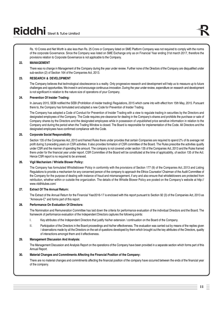Rs. 10 Crores and Net Worth is also less than Rs. 25 Crore or Company listed on SME Platform Company was not required to comply with the norms of the corporate Governance. Since the Company was listed on SME Exchange only as on Financial Year ending 31st march 2017, therefore the provisions relation to Corporate Governance is not applicable to the Company.

#### **22. MANAGEMENT**

There was no change in Management of the Company during the year under review. Further none of the Directors of the Company are disqualified under sub-section (2) of Section 164 of the Companies Act, 2013.

#### **23. RESEARCH & DEVELOPMENT**

The Company believes that technological obsolescence is a reality. Only progressive research and development will help us to measure up to future challenges and opportunities. We invest in and encourage continuous innovation. During the year under review, expenditure on research and development is not significant in relation to the nature size of operations of your Company.

#### **24. Prevention Of Insider Trading:**

In January 2015, SEBI notified the SEBI (Prohibition of insider trading) Regulations, 2015 which came into with effect from 15th May, 2015. Pursuant there to, the Company has formulated and adopted a new Code for Prevention of Insider Trading.

The Company has adopted a Code of Conduct for Prevention of Insider Trading with a view to regulate trading in securities by the Directors and designated employees of the Company. The Code requires pre-clearance for dealing in the Company's shares and prohibits the purchase or sale of Company shares by the Directors and the designated employees while in possession of unpublished price sensitive information in relation to the Company and during the period when the Trading Window is closed. The Board is responsible for implementation of the Code. All Directors and the designated employees have confirmed compliance with the Code.

#### **25. Corporate Social Responsibility:**

Section 135 of the Companies Act, 2013 and framed Rules there under provides that certain Companies are required to spend 2% of its average net profit during 3 preceding years on CSR activities. It also provides formation of CSR committee of the Board. The Rules prescribe the activities qualify under CSR and the manner of spending the amount. The company is not covered under section 135 of the Companies Act, 2013 and the Rules framed there under for the financial year under report. CSR Committee of the Board will be constituted at the time of applicability, of section 135 of the Act. Hence CSR report is no required to be annexed.

#### **26. Vigil Mechanism / Whistle Blower Policy:**

The Company has formulated Whistleblower Policy in conformity with the provisions of Section 177 (9) of the Companies Act, 2013 and Listing Regulations to provide a mechanism for any concerned person of the company to approach the Ethics Counselor/ Chairman of the Audit Committee of the Company for the purpose of dealing with instance of fraud and mismanagement, if any and also ensure that whistleblowers are protected from retribution, whether within or outside the organization. The details of the Whistle Blower Policy are posted on the Company's website at <http://> [www.riddhitubes.com/](http://www.riddhitubes.com/)

#### **27. Extract Of The Annual Return:**

The Extract of the Annual Return for the Financial Year2016-17 is enclosed with this report pursuant to Section 92 (3) of the Companies Act, 2013 as "Annexure-C" and forms part of this report.

#### **28. Performance On Evaluation Of Directors:**

The Nomination and Remuneration Committee has laid down the criteria for performance evaluation of the individual Directors and the Board. The framework of performance evaluation of the Independent Directors captures the following points:

- I. Key attributes of the Independent Directors that justify his/her extension / continuation on the Board of the Company.
- II. Participation of the Directors in the Board proceedings and his/her effectiveness. The evaluation was carried out by means of the replies given / observations made by all the Directors on the set of questions developed by them which brought out the key attributes of the Directors, quality of interactions amongst them and it effectiveness.

## **29. Management Discussion And Analysis:**

The Management Discussion and Analysis Report on the operations of the Company have been provided in a separate section which forms part of this Annual Report.

## **30. Material Changes and Commitments Affecting the Financial Position of the Company:**

There are no material changes and commitments affecting the financial position of the company have occurred between the ends of the financial year of the company.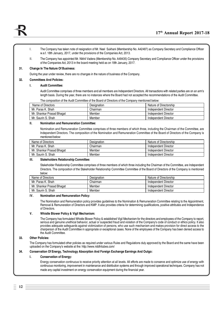- I. The Company has taken note of resignation of Mr. Neel Sukhani (Membership No. A42487) as Company Secretary and Compliance Officer w.e.f. 18th January, 2017, under the provisions of the Companies Act, 2013.
- II. The Company has appointed Mr. Nikhil Vadera (Membership No. A49435) Company Secretary and Compliance Officer under the provisions of the Companies Act, 2013 in the board meeting held as on 18th January, 2017.

#### **31. Change In The Nature Of Business:**

During the year under review, there are no changes in the nature of business of the Company.

## **32. Committees And Policies:**

#### **I. Audit Committee:**

Audit Committee comprises of three members and all members are Independent Directors. All transactions with related parties are on an arm's length basis. During the year, there are no instances where the Board had not accepted the recommendations of the Audit Committee.

The composition of the Audit Committee of the Board of Directors of the Company mentioned below:

| Name of Directors         | Designation | Nature of Directorship |
|---------------------------|-------------|------------------------|
| Mr. Paras K. Shah         | Chairman    | Independent Director   |
| Mr. Shankar Prasad Bhagat | Member      | Independent Director   |
| Mr. Saurin S. Shah        | Member      | Independent Director   |

#### **II. Nomination and Remuneration Committee:**

Nomination and Remuneration Committee comprises of three members of which three, including the Chairman of the Committee, are Independent Directors. The composition of the Nomination and Remuneration Committee of the Board of Directors of the Company is mentioned below:

| Name of Directors         | Designation | Nature of Directorship |
|---------------------------|-------------|------------------------|
| Mr. Paras K. Shah         | Chairman    | Independent Director   |
| Mr. Shankar Prasad Bhagat | Member      | Independent Director   |
| Mr. Saurin S. Shah        | Member      | Independent Director   |

#### **III. Stakeholders Relationship Committee:**

Stakeholder Relationship Committee comprises of three members of which three including the Chairman of the Committee, are Independent Directors. The composition of the Stakeholder Relationship Committee Committee of the Board of Directors of the Company is mentioned below:

| Name of Directors         | Designation | Nature of Directorship |
|---------------------------|-------------|------------------------|
| Mr. Paras K. Shah         | Chairman    | Independent Director   |
| Mr. Shankar Prasad Bhagat | Member      | Independent Director   |
| Mr. Saurin S. Shah        | Member      | Independent Director   |

#### **IV. Nomination and Remuneration Policy:**

The Nomination and Remuneration policy provides guidelines to the Nomination & Remuneration Committee relating to the Appointment, Removal & Remuneration of Directors and KMP. It also provides criteria for determining qualifications, positive attributes and Independence of Directors.

#### **V. Whistle Blower Policy & Vigil Mechanism:**

The Company has formulated Whistle Blower Policy & established Vigil Mechanism for the directors and employees of the Company to report, serious and genuine unethical behavior, actual or suspected fraud and violation of the Company's code of conduct or ethics policy. It also provides adequate safeguards against victimization of persons, who use such mechanism and makes provision for direct access to the chairperson of the Audit Committee in appropriate or exceptional cases. None of the employees of the Company has been denied access to the Audit Committee.

#### **33. Other Policies:**

The Company has formulated other policies as required under various Rules and Regulations duly approved by the Board and the same have been uploaded on the Company's website at the:<http://www.riddhitubes.com/>

#### **34. Conservation Of Energy, Technology Absorption And Foreign Exchange Earnings And Outgo:**

#### **I. Conservation of Energy:**

Energy conservation continuous to receive priority attention at all levels. All efforts are made to conserve and optimize use of energy with continuous monitoring, improvement in maintenance and distribution systems and through improved operational techniques. Company has not made any capital investment on energy conservation equipment during the financial year.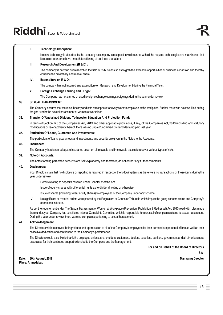# Riddhi Steel & Tube Limited

#### **II. Technology Absorption:**

No new technology is absorbed by the company as company is equipped in well manner with all the required technologies and machineries that it requires in order to have smooth functioning of business operations.

#### **III. Research And Development (R & D) :**

The company is carrying out research in the field of its business so as to grab the Available opportunities of business expansion and thereby enhance the profitability and market share.

## **IV. Expenditure on R & D:**

The company has not incurred any expenditure on Research and Development during the Financial Year.

#### **V. Foreign Exchange Earning and Outgo:**

The Company has not earned or used foreign exchange earnings/outgoings during the year under review.

#### **35. SEXUAL HARASSMENT**

The Company ensures that there is a healthy and safe atmosphere for every woman employee at the workplace. Further there was no case filled during the year under the sexual harassment of woman at workplace

#### **36. Transfer Of Unclaimed Dividend To Investor Education And Protection Fund:**

In terms of Section 125 of the Companies Act, 2013 and other applicable provisions, if any, of the Companies Act, 2013 including any statutory modifications or re-enactments thereof, there was no unpaid/unclaimed dividend declared paid last year.

## **37. Particulars Of Loans, Guarantee And Investments:**

The particulars of loans, guarantees and investments and security are given in the Notes to the Accounts.

#### **38. Insurance:**

The Company has taken adequate insurance cover on all movable and immovable assets to recover various types of risks.

#### **39. Note On Accounts:**

The notes forming part of the accounts are Self-explanatory and therefore, do not call for any further comments.

#### **40. Disclosures:**

Your Directors state that no disclosure or reporting is required in respect of the following items as there were no transactions on these items during the year under review:

- I. Details relating to deposits covered under Chapter V of the Act.
- II. Issue of equity shares with differential rights as to dividend, voting or otherwise.
- III. Issue of shares (including sweat equity shares) to employees of the Company under any scheme.
- IV. No significant or material orders were passed by the Regulators or Courts or Tribunals which impact the going concern status and Company's operations in future.

As per the requirement under The Sexual Harassment of Women at Workplace (Prevention, Prohibition & Redressal) Act, 2013 read with rules made there under, your Company has constituted Internal Complaints Committee which is responsible for redressal of complaints related to sexual harassment. During the year under review, there were no complaints pertaining to sexual harassment.

#### **41. Acknowledgement:**

The Directors wish to convey their gratitude and appreciation to all of the Company's employees for their tremendous personal efforts as well as their collective dedication and contribution to the Company's performance.

The Directors would also like to thank the employee unions, shareholders, customers, dealers, suppliers, bankers, government and all other business associates for their continued support extended to the Company and the Management.

**For and on Behalf of the Board of Directors**

**Sd/-**

**Date: 30th August, 2018 Managing Director Place: Ahmedabad**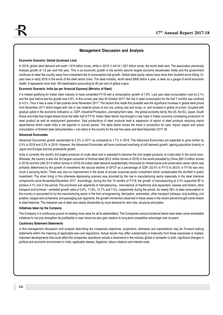## **Management Discussion and Analysis**

#### **Economic Scenario: Global (business Line)**

In 2018, global steel demand will reach 1.616 billion tones, while in 2019, it will hit 1.627 billion tones, the world steel said. The association previously forecast growth of 1.6 per cent this year. This is as economic growth in the world's second largest economy decelerates mildly and the government continues to steer the country away from investment-led to consumption-led growth. Global steel equity values have more than doubled since hitting 12 year lows in early 2016 in the worst of the steel sector crisis. The steel industry, worth about \$900 billion a year, is seen as a gauge of world economic health. It represents more than 160 steelmakers accounting for 85 per cent of global output.

#### **Economic Scenario: India (as per financial Express) (Ministry of Steel)**

It is indeed gratifying for Indian steel industry to have completed FY18 with a consumption growth of 7.8%. Last year steel consumption rose by 3.1% and the year before last the growth was 5.8%. In the current year also till October 2017, the rise in steel consumption for the first 7 months was confined to 4.5%. Thus it was a case of late pushes since November 2017. The factors that made this possible was the significant increase in global steel prices from November 2017 which began with rise in raw material prices of iron ore, coking coal and scrap i.e. and increase in global oil prices. Coupled with gradual uptick in the economic indicators i.e. GDP, Industrial Production, unemployment rates - the global economy led by the US, the EU, Japan, South Korea and India has forged ahead since the latter half of FY18. Indian Steel Sector has brought a new hope in Indian economy considering production of steel product as well as employment generation. Vast productions of steel products lead to expansion of export of steel products reducing import dependence which made India a net exporter in current period. The table below shows the trend in production for sale, import, export and actual consumption of finished steel (alloy/stainless + non-alloy) in the country for the last five years and April-December 2017-18:

#### **Advanced Economies**

Advanced Economies growth accelerated to 2.3% in 2017 as compared to 1.7% in 2016. The Advanced Economies are expected to grow further by 2.5% in 2018 and 2.2% in 2019. However, the Advanced Economies will have continued overhang of soft demand growth, ageing population (mainly in Japan and Europe) and low productivity growth.

India is currently the world's 3rd largest producer of crude steel and is expected to become the 2nd largest producer of crude steel in the world soon. Whereas, the country is also the 3rd largest consumer of finished steel (83.5 million tonnes in 2016) in the world preceded by China (681.0 million tonnes in 2016) and the USA (91.6 million tonnes in 2016) As Indian steel demand issubstantially influenced by infrastructure and construction sector which was primarily determined by the growth of investment, the secular decline of GFCF as a percentage of GDP (33.4% in FY13 to 28.5% in FY18) was very much a worrying factor. There was also no improvement in the share of private corporate sector investment which compensates the shortfall in public investment. The silver lining in this otherwise depressing scenario was provided by the rise in manufacturing sector especially in the steel intensive components since November/December 2017. Accordingly, during the first 10 months of FY18, the growth of manufacturing at 4.3% supported IIP to achieve 4.1% rise in the period. The prominent sub segments of manufacturing - manufacture of machinery and equipment, vessels and trailers, other transport and furniture - exhibited growth rates of 5.9%, 11.8%, 12.7% and 7.5%, respectively during the period. As nearly 38% of steel consumption in the country is accounted for by the manufacturing sector in the form of engineering, fabrication, automobile, other transport (railways, ship building, civil aviation, barges and containers) and packaging sub segments, the growth momentum observed in these areas in the recent period brought some cheers to steel fraternity. The industrial use of steel was clearly discernible by more demand for wire rods, structural and plates.

#### **Initiatives taken by the Company**

The Company is in continuous pursuit of creating more value for all its stakeholders. The Companies various functional teams have taken some remarkable initiatives to not only strengthen its profitability in near future but also gain medium to long-term competitive advantage over its peers.

#### **Cautionary Statement Statements**

in this management discussion and analysis describing the companies objectives, projections, estimates and expectations may be Forward looking statements within the meaning of applicable laws and regulations. Actual results may differ substantially or materially from those expressed or implied. Important developments that could affect the companies operations include a downtrend in the industry global or domestic or both, significant changes in political and economic environment in India, applicable statues, litigations, labour relations and interest costs.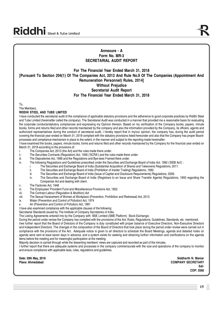## **Annexure - A Form No. MR-3 SECRETARIAL AUDIT REPORT**

## **For The Financial Year Ended March 31, 2018 [Pursuant To Section 204(1) Of The Companies Act, 2013 And Rule No.9 Of The Companies (Appointment And Remuneration Personnel) Rules, 2014] Without Prejudice Secretarial Audit Report For The Financial Year Ended March 31, 2018**

To,

The Members,

#### **RIDDHI STEEL AND TUBE LIMITED**

I have conducted the secretarial audit of the compliance of applicable statutory provisions and the adherence to good corporate practices by Riddhi Steel and Tube Limited (hereinafter called the company). The Secretarial Audit was conducted in a manner that provided me a reasonable basis for evaluating the corporate conducts/statutory compliances and expressing my Opinion thereon. Based on my verification of the Company books, papers, minute books, forms and returns filed and other records maintained by the company and also the information provided by the Company, its officers, agents and authorized representatives during the conduct of secretarial audit, I hereby report that in my/our opinion, the company has, during the audit period covering the financial year ended on March 31, 2018 complied with the statutory provisions listed hereunder and also that the Company has proper Boardprocesses and compliance-mechanism in place to the extent, in the manner and subject to the reporting made hereinafter:

I have examined the books, papers, minute books, forms and returns filed and other records maintained by the Company for the financial year ended on March 31, 2018 according to the provisions of:

- i. The Companies Act, 2013 (the Act) and the rules made there under.<br>ii. The Securities Contracts (Requilation) Act. 1956 ('SCRA') and the rul
- The Securities Contracts (Regulation) Act, 1956 ('SCRA') and the rules made there under.
- iii. The Depositories Act, 1996 and the Regulations and Bye-laws Framed there under.
- iv. The following Regulations and Guidelines prescribed under the Securities and Exchange Board of India Act, 1992 ('SEBI Act') :
	- i. The Securities and Exchange Board of India (Substantial Acquisition of Shares and Takeovers) Regulations, 2011.
	- ii. The Securities and Exchange Board of India (Prohibition of Insider Trading) Regulations, 1992.
	- iii. The Securities and Exchange Board of India (Issue of Capital and Disclosure Requirements) Regulations, 2009.
	- iv. The Securities and Exchange Board of India (Registrars to an Issue and Share Transfer Agents) Regulations, 1993 regarding the Companies Act and dealing with client.
- v. The Factories Act, 1948
- vi. The Employees' Provident Fund and Miscellaneous Provisions Act, 1952
- vii. The Contract Labour (Regulation & Abolition) Act
- viii. The Sexual Harassment of Women at Workplace (Prevention, Prohibition and Redressal) Act, 2013
- ix. Water (Prevention and Control of Pollution) Act, 1974
- x. Air (Prevention and Control of Pollution) Act, 1981
- I have also examined compliance with the applicable clauses of the following:

Secretarial Standards issued by The Institute of Company Secretaries of India.

The Listing Agreements entered into by the Company with BSE Limited (SME Platform) Stock Exchange;

During the period under review the Company has complied with the provisions of the Act. Rules, Regulations, Guidelines, Standards, etc. mentioned. I/we further report that the Board of Directors of the Company is duly constituted with proper balance of Executive Directors, Non-Executive Directors and Independent Directors. The changes in the composition of the Board of Directors that took place during the period under review were carried out in compliance with the provisions of the Act. Adequate notice is given to all directors to schedule the Board Meetings, agenda and detailed notes on agenda were sent at least seven days in advance, and a system exists for seeking and obtaining further information and clarifications on the agenda items before the meeting and for meaningful participation at the meeting.

Majority decision is carried through while the dissenting members' views are captured and recorded as part of the minutes.

I further report that during the audit period the company has issued 23,40,000/- equity shares to the public through public issued.

I further report that there are adequate systems and processes in the company commensurate with the size and operations of the company to monitor and ensure compliance with applicable laws, rules, regulations and guidelines.

**Date: 30th May, 2018 Siddharth N. Maniar Place: Ahmedabad COMPANY SECRETARY Sd/- COP: 3560**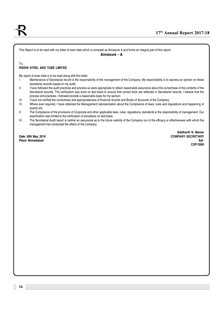This Report is to be read with my letter of even date which is annexed as Annexure A and forms an integral part of this report.

## **Annexure - A**

#### To, **RIDDHI STEEL AND TUBE LIMITED**

My report of even date is to be read along with this letter.

- I. Maintenance of Secretarial record is the responsibility of the management of the Company. My responsibility is to express an opinion on these secretarial records based on my audit;
- II. Inave followed the audit practices and process as were appropriate to obtain reasonable assurance about the correctness of the contents of the Secretarial records. The verification was done on test basis to ensure that correct facts are reflected in Secretarial records. I believe that the process and practices, I followed provide a reasonable basis for my opinion;
- III. Inave not verified the correctness and appropriateness of financial records and Books of Accounts of the Company;<br>IV. Where ever required. I have obtained the Management representation about the Compliance of laws, ru
- Where ever required, I have obtained the Management representation about the Compliance of laws, rules and regulations and happening of events etc.
- V. The Compliance of the provisions of Corporate and other applicable laws, rules, regulations, standards is the responsibility of management. Our examination was limited to the verification of procedure on test basis;
- VI. The Secretarial Audit report is neither an assurance as to the future viability of the Company nor of the efficacy or effectiveness with which the management has conducted the affairs of the Company.

**Siddharth N. Maniar Date: 30th May, 2018 COMPANY SECRETARY Place: Ahmedabad Sd/- COP:3560**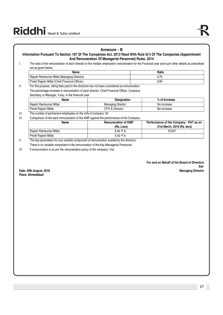## **Annexure - B**

## **Information Pursuant To Section 197 Of The Companies Act, 2013 Read With Rule 5(1) Of The Companies (Appointment And Remuneration Of Managerial Personnel) Rules, 2014**

I. The ratio of the remuneration of each director to the median employee's remuneration for the Financial year and such other details as prescribed are as given below:

| Name                                           | Ratio |
|------------------------------------------------|-------|
| Rajesh Ramkumar Mittal (Managing Director)     |       |
| Preeti Rajesh Mittal (Chief Financial Officer) | 6.09  |

II. For this purpose, sitting fees paid to the directors has not been considered as remuneration. The percentage increase in remuneration of each director, Chief Financial Officer, Company

Secretary or Manager, if any, in the financial year

| Name                   | <b>Designation</b>       | % of Increase |  |
|------------------------|--------------------------|---------------|--|
| Raiesh Ramkumar Mittal | <b>Managing Director</b> | No Increase   |  |
| Preeti Raiesh Mittal   | CFO & Director           | No Increase   |  |

III. The number of permanent employees on the rolls of company: 24

IV. Comparison of the each remuneration of the KMP against the performance of the Company:

| Name                              | <b>Remuneration of KMP</b><br>(Rs. Lacs) | Performance of the Company - PAT as on<br>31st March, 2018 (Rs. lacs) |
|-----------------------------------|------------------------------------------|-----------------------------------------------------------------------|
| Raiesh Ramkumar Mittal            | 6.00 P.A                                 | 313.67                                                                |
| <sup>1</sup> Preeti Raiesh Mittal | 5.40 P.A                                 |                                                                       |

V. The key parameters for any variable component of remuneration availed by the directors: There is no variable component in the remuneration of the Key Managerial Personnel.

VI. If remuneration is as per the remuneration policy of the company: Yes

**For and on Behalf of the Board of Directors Sd/-**<br>Managing Director

**Date: 30th August, 2018 Place: Ahmedabad**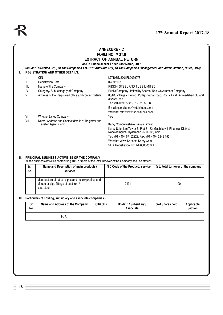## **ANNEXURE - C FORM NO. MGT.9 EXTRACT OF ANNUAL RETURN As On Financial Year Ended 31st March, 2017**

*[Pursuant To Section 92(3) Of The Companies Act, 2013 And Rule 12(1) Of The Companies (Management And Administration) Rules, 2014]* I. **REGISTRATION AND OTHER DETAILS**:

| Ι.   | CIN                                                   | L27106GJ2001PLC039978                                                                                           |  |
|------|-------------------------------------------------------|-----------------------------------------------------------------------------------------------------------------|--|
| Ш.   | <b>Registration Date</b>                              | 07/09/2001                                                                                                      |  |
| III. | Name of the Company:                                  | RIDDHI STEEL AND TUBE LIMITED                                                                                   |  |
| IV.  | Category/ Sub-category of Company                     | Public Company Limited by Shares/Non-Government Company                                                         |  |
| V.   | Address of the Registered office and contact details: | 83/84, Village - Kamod, Piplaj Pirana Road, Post - Aslali, Ahmedabad Gujarat<br>382427 India.                   |  |
|      |                                                       | Tel: +91-079-25320781 / 82 / 83 / 86.                                                                           |  |
|      |                                                       | E-mail: compliance@riddhitubes.com                                                                              |  |
|      |                                                       | Website: http://www.riddhitubes.com/                                                                            |  |
| VI.  | Whether Listed Company                                | Yes                                                                                                             |  |
| VII. | Name, Address and Contact details of Registrar and    |                                                                                                                 |  |
|      | Transfer Agent, if any                                | Karvy Computershare Private Limited                                                                             |  |
|      |                                                       | Karvy Selenium Tower B, Plot 31-32, Gachibowli, Financial District,<br>Nanakramguda, Hyderabad - 500 032, India |  |
|      |                                                       | Tel: +91 - 40 - 67162222, Fax: +91 - 40 - 2343 1551                                                             |  |
|      |                                                       | Website: Www.Karisma.Karvy.Com                                                                                  |  |
|      |                                                       | SEBI Registration No: INR000000221                                                                              |  |
|      |                                                       |                                                                                                                 |  |

## **II. PRINCIPAL BUSINESS ACTIVITIES OF THE COMPANY**

All the business activities contributing 10% or more of the total turnover of the Company shall be stated:-

| Sr.<br>No. | Name and Description of main products /<br>services                                                          | NIC Code of the Product / service | % to total turnover of the company |
|------------|--------------------------------------------------------------------------------------------------------------|-----------------------------------|------------------------------------|
|            | Manufacture of tubes, pipes and hollow profiles and<br>of tube or pipe fittings of cast iron /<br>cast-steel | 24311                             | 100                                |

#### **III. Particulars of holding, subsidiary and associate companies -**

| Sr.<br>No. | Name and Address of the Company | <b>CIN/ GLN</b> | Holding / Subsidiary /<br>Associate | % of Shares held | Applicable<br><b>Section</b> |
|------------|---------------------------------|-----------------|-------------------------------------|------------------|------------------------------|
|            | N. A.                           |                 |                                     |                  |                              |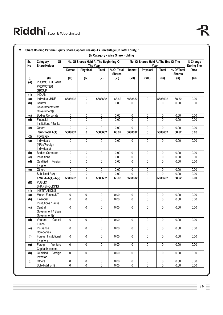| Sr.<br>No | Of<br>Category<br><b>Share Holder</b>           |             | No. Of Shares Held At The Beginning Of<br>The Year |              |                             |           | No. Of Shares Held At The End Of The<br>Year |              |                             | % Change<br><b>During The</b> |
|-----------|-------------------------------------------------|-------------|----------------------------------------------------|--------------|-----------------------------|-----------|----------------------------------------------|--------------|-----------------------------|-------------------------------|
|           |                                                 | Demat       | <b>Physical</b>                                    | <b>Total</b> | % Of Total<br><b>Shares</b> | Demat     | Physical                                     | Total        | % Of Total<br><b>Shares</b> | Year                          |
| (1)       | (II)                                            | (III)       | (IV)                                               | (V)          | (VI)                        | (VII)     | (VIII)                                       | (IX)         | (X)                         | (XI)                          |
| (A)       | PROMOTER AND<br><b>PROMOTER</b><br><b>GROUP</b> |             |                                                    |              |                             |           |                                              |              |                             |                               |
| (1)       | <b>INDIAN</b>                                   |             |                                                    |              |                             |           |                                              |              |                             |                               |
| (a)       | Individual /HUF                                 | 5688632     | 0                                                  | 5688632      | 68.62                       | 5688632   | 0                                            | 5688632      | 68.62                       | 0.00                          |
| (b)       | Central<br>Government/State<br>Government(s)    | 0           | $\mathbf 0$                                        | 0            | 0.00                        | 0         | $\pmb{0}$                                    | 0            | 0.00                        | 0.00                          |
| (c)       | <b>Bodies Corporate</b>                         | 0           | 0                                                  | 0            | 0.00                        | 0         | 0                                            | 0            | 0.00                        | 0.00                          |
| (d)       | Financial<br>Institutions / Banks               | $\Omega$    | 0                                                  | 0            | 0.00                        | 0         | $\mathbf{0}$                                 | $\mathbf 0$  | 0.00                        | 0.00                          |
| (e)       | Others                                          | 0           | 0                                                  | 0            | 0.00                        | 0         | 0                                            | 0            | 0.00                        | 0.00                          |
|           | Sub-Total A(1) :                                | 5688632     | 0                                                  | 5688632      | 68.62                       | 5688632   | 0                                            | 5688632      | 68.62                       | 0.00                          |
| (2)       | <b>FOREIGN</b>                                  |             |                                                    |              |                             |           |                                              |              |                             |                               |
| (a)       | Individuals<br>(NRIs/Foreign<br>Individuals)    | $\mathbf 0$ | 0                                                  | 0            | 0.00                        | 0         | $\pmb{0}$                                    | $\mathbf{0}$ | 0.00                        | 0.00                          |
| (b)       | <b>Bodies Corporate</b>                         | 0           | 0                                                  | 0            | 0.00                        | 0         | 0                                            | 0            | 0.00                        | 0.00                          |
| (c)       | Institutions                                    | $\pmb{0}$   | 0                                                  | 0            | 0.00                        | 0         | 0                                            | 0            | 0.00                        | 0.00                          |
| (d)       | Qualified<br>Foreign<br>Investor                | 0           | $\mathbf 0$                                        | 0            | 0.00                        | 0         | $\mathbf 0$                                  | $\mathbf 0$  | 0.00                        | 0.00                          |
| (e)       | Others                                          | 0           | 0                                                  | 0            | 0.00                        | 0         | 0                                            | 0            | 0.00                        | 0.00                          |
|           | Sub-Total $A(2)$ :                              | 0           | 0                                                  | 0            | 0.00                        | 0         | 0                                            | $\mathbf 0$  | 0.00                        | 0.00                          |
|           | Total $A=A(1)+A(2)$                             | 5688632     | 0                                                  | 5688632      | 68.62                       | 5688632   | 0                                            | 5688632      | 68.62                       | 0.00                          |
| (B)       | <b>PUBLIC</b><br><b>SHAREHOLDING</b>            |             |                                                    |              |                             |           |                                              |              |                             |                               |
| (1)       | <b>INSTITUTIONS</b>                             |             |                                                    |              |                             |           |                                              |              |                             |                               |
| (a)       | Mutual Funds /UTI                               | 0           | 0                                                  | 0            | 0.00                        | 0         | 0                                            | 0            | 0.00                        | 0.00                          |
| (b)       | Financial<br>Institutions /Banks                | $\Omega$    | 0                                                  | 0            | 0.00                        | 0         | $\mathbf{0}$                                 | $\Omega$     | 0.00                        | 0.00                          |
| (c)       | Central<br>Government / State<br>Government(s)  | $\pmb{0}$   | 0                                                  | 0            | 0.00                        | 0         | $\pmb{0}$                                    | $\mathbf{0}$ | 0.00                        | 0.00                          |
| (d)       | Venture<br>Capital<br>Funds                     | 0           | 0                                                  | 0            | 0.00                        | 0         | $\mathbf 0$                                  | $\pmb{0}$    | 0.00                        | 0.00                          |
| (e)       | Insurance<br>Companies                          | $\pmb{0}$   | $\mathbf 0$                                        | $\pmb{0}$    | 0.00                        | $\pmb{0}$ | $\pmb{0}$                                    | $\mathbf 0$  | 0.00                        | 0.00                          |
| (f)       | Foreign Institutional<br>Investors              | $\pmb{0}$   | $\pmb{0}$                                          | $\mathsf 0$  | 0.00                        | $\pmb{0}$ | $\pmb{0}$                                    | $\mathbf 0$  | 0.00                        | 0.00                          |
| (g)       | Venture<br>Foreign<br>Capital Investors         | $\pmb{0}$   | $\pmb{0}$                                          | 0            | 0.00                        | $\pmb{0}$ | $\pmb{0}$                                    | $\pmb{0}$    | 0.00                        | 0.00                          |
| (h)       | Qualified<br>Foreign<br>Investor                | $\pmb{0}$   | 0                                                  | 0            | 0.00                        | $\pmb{0}$ | $\pmb{0}$                                    | $\pmb{0}$    | 0.00                        | 0.00                          |
| (i)       | Others                                          | $\mathsf 0$ | 0                                                  | 0            | 0.00                        | $\pmb{0}$ | $\pmb{0}$                                    | $\pmb{0}$    | 0.00                        | 0.00                          |
|           | Sub-Total $B(1)$ :                              | 0           | 0                                                  | 0            | 0.00                        | $\pmb{0}$ | $\pmb{0}$                                    | $\pmb{0}$    | 0.00                        | 0.00                          |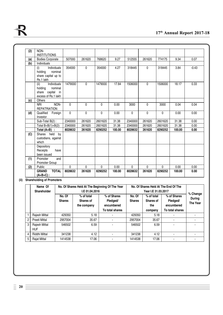| (2) | NON-                                                                                 |              |        |         |        |              |              |         |        |         |
|-----|--------------------------------------------------------------------------------------|--------------|--------|---------|--------|--------------|--------------|---------|--------|---------|
|     | <b>INSTITUTIONS</b>                                                                  |              |        |         |        |              |              |         |        |         |
| (a) | <b>Bodies Corporate</b>                                                              | 507000       | 261620 | 768620  | 9.27   | 512555       | 261620       | 774175  | 9.34   | 0.07    |
| (b) | Individuals                                                                          |              |        |         |        |              |              |         |        |         |
|     | Individuals<br>(i)<br>holding<br>nominal<br>share capital up to<br>Rs.1 lakh         | 354000       | 0      | 354000  | 4.27   | 318445       | $\mathbf{0}$ | 318445  | 3.84   | $-0.43$ |
|     | Individuals<br>(ii)<br>nominal<br>holding<br>share capital in<br>excess of Rs.1 lakh | 1479000      | 0      | 1479000 | 17.84  | 1506000      | 0            | 1506000 | 18.17  | 0.33    |
| (c) | Others                                                                               |              |        |         |        |              |              |         |        |         |
|     | NON-<br><b>NRI</b><br><b>REPATRIATION</b>                                            | $\Omega$     | 0      | 0       | 0.00   | 3000         | 0            | 3000    | 0.04   | 0.04    |
| (d) | Qualified<br>Foreign<br>Investor                                                     | $\mathbf{0}$ | 0      | 0       | 0.00   | $\mathbf{0}$ | 0            | 0       | 0.00   | 0.00    |
|     | Sub-Total B(2):                                                                      | 2340000      | 261620 | 2601620 | 31.38  | 2340000      | 261620       | 2601620 | 31.38  | 0.00    |
|     | Total $B=B(1)+B(2)$ :                                                                | 2340000      | 261620 | 2601620 | 31.38  | 2340000      | 261620       | 2601620 | 31.38  | 0.00    |
|     | Total $(A+B)$ :                                                                      | 8028632      | 261620 | 8290252 | 100.00 | 8028632      | 261620       | 8290252 | 100.00 | 0.00    |
| (C) | Shares held<br>by<br>custodians, against<br>which                                    |              |        |         |        |              |              |         |        |         |
|     | Depository<br>Receipts<br>have<br>been issued                                        |              |        |         |        |              |              |         |        |         |
| (1) | Promoter<br>and<br>Promoter Group                                                    |              |        |         |        |              |              |         |        |         |
| (2) | Public                                                                               | 0            | 0      | 0       | 0.00   | $\mathbf{0}$ | 0            | 0       | 0.00   | 0.00    |
|     | <b>GRAND</b><br><b>TOTAL</b><br>$(A+B+C)$ :                                          | 8028632      | 261620 | 8290252 | 100.00 | 8028632      | 261620       | 8290252 | 100.00 | 0.00    |

**(ii) Shareholding of Promoters**

|                | No. Of Shares Held At The Beginning Of The Year<br>Name Of<br>I.E 01.04.2016<br>Shareholder |                         |                                        |                                                          |                         | Year I.E 31.03.2017                       | No. Of Shares Held At The End Of The                     |                                       |
|----------------|---------------------------------------------------------------------------------------------|-------------------------|----------------------------------------|----------------------------------------------------------|-------------------------|-------------------------------------------|----------------------------------------------------------|---------------------------------------|
|                |                                                                                             | No. Of<br><b>Shares</b> | % of total<br>Shares of<br>the company | % of Shares<br>Pledged/<br>encumbered<br>To total shares | No. Of<br><b>Shares</b> | % of total<br>Shares of<br>the<br>company | % of Shares<br>Pledged/<br>encumbered<br>To total shares | % Change<br><b>During</b><br>The Year |
|                | Rajesh Mittal                                                                               | 429350                  | 5.18                                   |                                                          | 429350                  | 5.18                                      |                                                          |                                       |
| $\overline{2}$ | Preeti Mittal                                                                               | 2957004                 | 35.67                                  |                                                          | 2957004                 | 35.67                                     |                                                          |                                       |
| 3              | Rajesh Mittal<br><b>HUF</b>                                                                 | 546502                  | 6.59                                   |                                                          | 546502                  | 6.59                                      |                                                          |                                       |
| 4              | Riddhi Mittal                                                                               | 341238                  | 4.12                                   |                                                          | 341238                  | 4.12                                      |                                                          |                                       |
| 5              | <b>Rajat Mittal</b>                                                                         | 1414538                 | 17.06                                  |                                                          | 1414538                 | 17.06                                     |                                                          |                                       |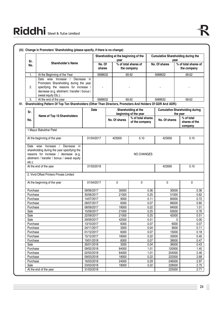|                   |                                                                                                                                                                                                      |                          |                  | Shareholding at the beginning of the<br>vear |                                              |              | <b>Cumulative Shareholding during the</b><br>vear |                                                   |  |
|-------------------|------------------------------------------------------------------------------------------------------------------------------------------------------------------------------------------------------|--------------------------|------------------|----------------------------------------------|----------------------------------------------|--------------|---------------------------------------------------|---------------------------------------------------|--|
| Sr.<br>No.        | Shareholder's Name                                                                                                                                                                                   |                          | No. Of<br>shares |                                              | % of total shares of<br>the company          |              | No. Of shares                                     | $%$ of total shares of<br>the company             |  |
| 1.                | At the Beginning of the Year                                                                                                                                                                         |                          | 5688632          |                                              | 68.62                                        |              | 5688632                                           | 68.62                                             |  |
| 2.                | Date wise<br>Increase $/$<br>Decrease in<br>Promoters Shareholding during the year<br>specifying the reasons for increase /<br>decrease (e.g. allotment / transfer / bonus /<br>sweat equity Etc.) : |                          |                  |                                              |                                              |              |                                                   |                                                   |  |
| 3.                | At the end of the year                                                                                                                                                                               |                          | 5688632          |                                              | 68.62                                        |              | 5688632                                           | 68.62                                             |  |
|                   | IV. Shareholding Pattern Of Top Ten Shareholders (Other Than Directors, Promoters And Holders Of GDR And ADR):                                                                                       |                          |                  |                                              |                                              |              |                                                   |                                                   |  |
| Sr.               | Name of Top 10 Shareholders                                                                                                                                                                          |                          | Date             |                                              | Shareholding at the<br>beginning of the year |              |                                                   | <b>Cumulative Shareholding during</b><br>the year |  |
| No.               |                                                                                                                                                                                                      |                          |                  | No. Of shares                                | % of total shares<br>of the company          |              | No. Of shares                                     | % of total<br>shares of the<br>company            |  |
|                   | 1. Mayur Babubhai Patel                                                                                                                                                                              |                          |                  |                                              |                                              |              |                                                   |                                                   |  |
|                   | At the beginning of the year                                                                                                                                                                         |                          | 01/04/2017       | 423000                                       | 5.10                                         |              | 423000                                            | 5.10                                              |  |
| Date<br>$etc.$ ): | wise<br>Increase /<br>Decrease<br>in.<br>shareholding during the year specifying the<br>reasons for increase / decrease (e.g.<br>allotment / transfer / bonus / sweat equity                         |                          |                  |                                              | <b>NO CHANGES</b>                            |              |                                                   |                                                   |  |
|                   | At the end of the year                                                                                                                                                                               |                          | 31/03/2018       |                                              |                                              |              | 423000                                            | 5.10                                              |  |
|                   | 2. Vivid Offset Printers Private Limited                                                                                                                                                             |                          |                  |                                              |                                              |              |                                                   |                                                   |  |
|                   | At the beginning of the year                                                                                                                                                                         |                          | 01/04/2017       | 0                                            | 0                                            |              | 0                                                 | 0                                                 |  |
| Purchase          |                                                                                                                                                                                                      | 09/06/2017               |                  | 30000                                        |                                              | 0.36         | 30000                                             | 0.36                                              |  |
| Purchase          |                                                                                                                                                                                                      | 30/06/2017               |                  | 21000                                        |                                              | 0.25         | 51000                                             | 0.62                                              |  |
| Purchase          |                                                                                                                                                                                                      | 14/07/2017               |                  | 9000                                         |                                              | 0.11         | 60000                                             | 0.72                                              |  |
| Purchase          |                                                                                                                                                                                                      | 28/07/2017               |                  | 6000                                         |                                              | 0.07         | 66000                                             | 0.80                                              |  |
| Purchase          |                                                                                                                                                                                                      | 08/09/2017               |                  | 18000                                        |                                              | 0.22         | 84000                                             | 1.01                                              |  |
| Sale              |                                                                                                                                                                                                      | 15/09/2017               |                  | 21000                                        |                                              | 0.25         | 63000                                             | 0.76                                              |  |
| Sale              |                                                                                                                                                                                                      | 22/09/2017               |                  | 21000                                        |                                              | 0.25         | 42000                                             | 0.51                                              |  |
| Sale<br>Purchase  |                                                                                                                                                                                                      | 29/09/2017<br>13/10/2017 |                  | 42000<br>6000                                |                                              | 0.51<br>0.07 | 0<br>6000                                         | 0.00<br>0.07                                      |  |
| Purchase          |                                                                                                                                                                                                      | 24/11/2017               |                  | 3000                                         |                                              | 0.04         | 9000                                              | 0.11                                              |  |
| Purchase          |                                                                                                                                                                                                      | 01/12/2017               |                  | 6000                                         |                                              | 0.07         | 15000                                             | 0.18                                              |  |
| Purchase          |                                                                                                                                                                                                      | 15/12/2017               |                  | 18000                                        |                                              | 0.22         | 33000                                             | 0.40                                              |  |
| Purchase          |                                                                                                                                                                                                      | 19/01/2018               |                  | 6000                                         |                                              | 0.07         | 39000                                             | 0.47                                              |  |
| Sale              |                                                                                                                                                                                                      | 26/01/2018               |                  | 3000                                         |                                              | 0.04         | 36000                                             | 0.43                                              |  |
| Purchase          |                                                                                                                                                                                                      | 09/02/2018               |                  | 84000                                        |                                              | 1.01         | 120000                                            | 1.45                                              |  |
| Purchase          |                                                                                                                                                                                                      | 02/03/2018               |                  | 84000                                        |                                              | 1.01         | 204000                                            | 2.46                                              |  |
| Purchase          |                                                                                                                                                                                                      | 09/03/2018               |                  | 18000                                        |                                              | 0.22         | 222000                                            | 2.68                                              |  |
|                   | Purchase                                                                                                                                                                                             | 16/03/2018               |                  | 24000                                        |                                              | 0.29         | 246000                                            | 2.97                                              |  |

Sale 23/03/2018 18000 0.22 228000 2.75 At the end of the year 31/03/2018 31/03/2018 225000 2.71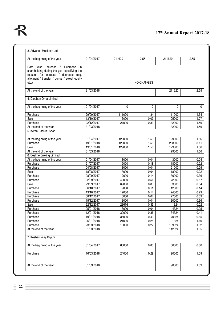

| At the beginning of the year                                                                         | 01/04/2017 | 211620 | 2.55              | 211620 | 2.55     |
|------------------------------------------------------------------------------------------------------|------------|--------|-------------------|--------|----------|
|                                                                                                      |            |        |                   |        |          |
| Increase<br>Date wise<br>Decrease<br>$\sqrt{ }$<br>in<br>shareholding during the year specifying the |            |        |                   |        |          |
| reasons for increase / decrease (e.g.                                                                |            |        |                   |        |          |
| allotment / transfer / bonus / sweat equity                                                          |            |        |                   |        |          |
| $etc.$ ):                                                                                            |            |        | <b>NO CHANGES</b> |        |          |
|                                                                                                      |            |        |                   |        |          |
| At the end of the year                                                                               | 31/03/2018 |        |                   | 211620 | 2.55     |
| 4. Darshan Orna Limited                                                                              |            |        |                   |        |          |
| At the beginning of the year                                                                         | 01/04/2017 | 0      | $\mathbf 0$       | 0      | $\Omega$ |
|                                                                                                      |            |        |                   |        |          |
| Purchase                                                                                             | 29/09/2017 | 111000 | 1.34              | 111000 | 1.34     |
| Sale                                                                                                 | 13/10/2017 | 6000   | 0.07              | 105000 | 1.27     |
| Purchase                                                                                             | 22/12/2017 | 27000  | 0.33              | 132000 | 1.59     |
| At the end of the year                                                                               | 31/03/2018 |        |                   | 132000 | 1.59     |
| 5. Ketan Rasiklal Shah                                                                               |            |        |                   |        |          |
| At the beginning of the year                                                                         | 01/04/2017 | 129000 | 1.56              | 129000 | 1.56     |
| Purchase                                                                                             | 19/01/2018 | 129000 | 1.56              | 258000 | 3.11     |
| Sale                                                                                                 | 19/01/2018 | 129000 | 1.56              | 129000 | 1.56     |
| At the end of the year                                                                               | 31/03/2018 |        |                   | 129000 | 1.56     |
| 6. Beeline Broking Limited                                                                           |            |        |                   |        |          |
| At the beginning of the year                                                                         | 01/04/2017 | 3000   | 0.04              | 3000   | 0.04     |
| Purchase                                                                                             | 21/07/2017 | 15000  | 0.18              | 18000  | 0.22     |
| Purchase                                                                                             | 04/08/2017 | 3000   | 0.04              | 21000  | 0.25     |
| Sale                                                                                                 | 18/08/2017 | 3000   | 0.04              | 18000  | 0.22     |
| Purchase                                                                                             | 08/09/2017 | 12000  | 0.14              | 30000  | 0.36     |
| Purchase                                                                                             | 22/09/2017 | 42000  | 0.51              | 72000  | 0.87     |
| Sale                                                                                                 | 29/09/2017 | 69000  | 0.83              | 3000   | 0.04     |
| Purchase                                                                                             | 06/10/2017 | 9000   | 0.11              | 12000  | 0.14     |
| Purchase                                                                                             | 13/10/2017 | 12000  | 0.14              | 24000  | 0.29     |
| Purchase                                                                                             | 08/12/2017 | 3000   | 0.04              | 27000  | 0.33     |
| Purchase                                                                                             | 15/12/2017 | 3000   | 0.04              | 30000  | 0.36     |
| Sale                                                                                                 | 22/12/2017 | 28676  | 0.35              | 1324   | 0.02     |
| Purchase                                                                                             | 05/01/2018 | 3000   | 0.04              | 4324   | 0.05     |
| Purchase                                                                                             | 12/01/2018 | 30000  | 0.36              | 34324  | 0.41     |
| Purchase                                                                                             | 19/01/2018 | 36000  | 0.43              | 70324  | 0.85     |
| Purchase                                                                                             | 26/01/2018 | 21000  | 0.25              | 91324  | 1.10     |
| Purchase                                                                                             | 23/03/2018 | 18000  | 0.22              | 109324 | 1.32     |
| At the end of the year                                                                               | 31/03/2018 |        |                   | 112324 | 1.35     |
| 7. Keshav Vijay Biyani                                                                               |            |        |                   |        |          |
| At the beginning of the year                                                                         | 01/04/2017 | 66000  | 0.80              | 66000  | 0.80     |
| Purchase                                                                                             | 16/03/2018 | 24000  | 0.29              | 90000  | 1.09     |
|                                                                                                      |            |        |                   |        |          |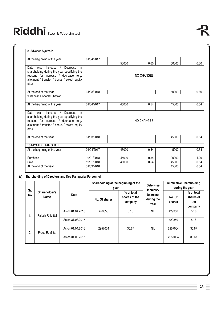| 8. Advance Synthetic                                                                                                                                                                           |            |       |                   |       |      |  |  |  |
|------------------------------------------------------------------------------------------------------------------------------------------------------------------------------------------------|------------|-------|-------------------|-------|------|--|--|--|
| At the beginning of the year                                                                                                                                                                   | 01/04/2017 | 50000 | 0.60              | 50000 | 0.60 |  |  |  |
| Date<br>wise<br>Decrease<br>Increase<br>in<br>shareholding during the year specifying the<br>reasons for increase / decrease (e.g.<br>allotment / transfer / bonus / sweat equity<br>$etc.$ ): |            |       | <b>NO CHANGES</b> |       |      |  |  |  |
| At the end of the year                                                                                                                                                                         | 31/03/2018 |       |                   | 50000 | 0.60 |  |  |  |
| 9. Mahesh Sohanlal Jhawar                                                                                                                                                                      |            |       |                   |       |      |  |  |  |
| At the beginning of the year                                                                                                                                                                   | 01/04/2017 | 45000 | 0.54              | 45000 | 0.54 |  |  |  |
| Date<br>Decrease<br>wise<br>Increase<br>in<br>shareholding during the year specifying the<br>reasons for increase / decrease (e.g.<br>allotment / transfer / bonus / sweat equity<br>$etc.$ ): |            |       | NO CHANGES        |       |      |  |  |  |
| At the end of the year                                                                                                                                                                         | 31/03/2018 |       |                   | 45000 | 0.54 |  |  |  |
|                                                                                                                                                                                                |            |       |                   |       |      |  |  |  |

| 10.NIYATI KETAN SHAH         |            |       |      |       |       |  |  |  |  |  |  |
|------------------------------|------------|-------|------|-------|-------|--|--|--|--|--|--|
| At the beginning of the year | 01/04/2017 | 45000 | 0.54 | 45000 | 0.54  |  |  |  |  |  |  |
|                              |            |       |      |       |       |  |  |  |  |  |  |
| Purchase                     | 19/01/2018 | 45000 | 0.54 | 90000 | 09، ا |  |  |  |  |  |  |
| Sale                         | 19/01/2018 | 45000 | 0.54 | 45000 | 0.54  |  |  |  |  |  |  |
| At the end of the year       | 31/03/2018 |       |      | 45000 | 0.54  |  |  |  |  |  |  |
|                              |            |       |      |       |       |  |  |  |  |  |  |

## **(v) Shareholding of Directors and Key Managerial Personnel:**

|           | Shareholder's<br>Name | Date             | Shareholding at the beginning of the<br>vear |                                          | Date wise<br>Increase/                | <b>Cumulative Shareholding</b><br>during the year |                                           |  |
|-----------|-----------------------|------------------|----------------------------------------------|------------------------------------------|---------------------------------------|---------------------------------------------------|-------------------------------------------|--|
| Sr.<br>No |                       |                  | No. Of shares                                | $%$ of total<br>shares of the<br>company | <b>Decrease</b><br>during the<br>Year | No. Of<br>shares                                  | % of total<br>shares of<br>the<br>company |  |
| ι.        | Rajesh R. Mittal      | As on 01.04.2016 | 429350                                       | 5.18                                     | <b>NIL</b>                            | 429350                                            | 5.18                                      |  |
|           |                       | As on 31,03,2017 |                                              |                                          |                                       | 429350                                            | 5.18                                      |  |
| 2.        | Preeti R. Mittal      | As on 01.04.2016 | 2957004                                      | 35.67                                    | <b>NIL</b>                            | 2957004                                           | 35.67                                     |  |
|           |                       | As on 31,03,2017 |                                              |                                          |                                       | 2957004                                           | 35.67                                     |  |

 $23 \equiv$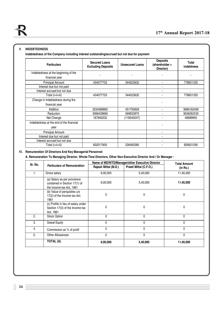## **V. INDEBTEDNESS**

**Indebtedness of the Company including interest outstanding/accrued but not due for payment**

| <b>Particulars</b>                                     | <b>Secured Loans</b><br><b>Excluding Deposits</b> | <b>Unsecured Loans</b> | <b>Deposits</b><br>(shareholder +<br>Director) | Total<br><b>indebtness</b> |
|--------------------------------------------------------|---------------------------------------------------|------------------------|------------------------------------------------|----------------------------|
| Indebtedness at the beginning of the<br>financial year |                                                   |                        |                                                |                            |
| <b>Principal Amount</b><br>Interest due but not paid   | 434077703                                         | 344523632              | $\blacksquare$                                 | 778601335                  |
| Interest accrued but not due                           |                                                   |                        |                                                |                            |
| Total (i+ii+iii)                                       | 434077703                                         | 344523632              |                                                | 778601335                  |
| Change in Indebtedness during the<br>financial year    |                                                   |                        |                                                |                            |
| Addition                                               | 3234368862                                        | 451793628              | ٠                                              | 3686162490                 |
| Reduction                                              | 3066428660                                        | 569833875              |                                                | 3636262535                 |
| Net Change                                             | 167940202                                         | (118040247)            | ٠                                              | 49899955                   |
| Indebtedness at the end of the financial<br>year       |                                                   |                        |                                                |                            |
| <b>Principal Amount</b>                                |                                                   |                        | ٠                                              |                            |
| Interest due but not paid                              |                                                   |                        |                                                |                            |
| Interest accrued but not due                           |                                                   |                        |                                                |                            |
| Total (i+ii+iii)                                       | 602017905                                         | 226483385              |                                                | 828501290                  |

## **VI. Remuneration Of Directors And Key Managerial Personnel**

**A. Remuneration To Managing Director, Whole-Time Directors, Other Non-Executive Director And / Or Manager :**

| Sr. No. |                                                                                           |                      | Name of MD/WTD/Manager/other Executive Director | <b>Total Amount</b> |
|---------|-------------------------------------------------------------------------------------------|----------------------|-------------------------------------------------|---------------------|
|         | <b>Particulars of Remuneration</b>                                                        | Rajesh Mittal (M.D.) | Preeti Mittal (C.F.O.)                          | (in Rs.)            |
| 1.      | Gross salary                                                                              | 6,00,000             | 5,40,000                                        | 11,40,000           |
|         | (a) Salary as per provisions<br>contained in Section 17(1) of<br>the Income-tax Act, 1961 | 6,00,000             | 5,40,000                                        | 11,40,000           |
|         | (b) Value of perquisites u/s<br>17(2) of the Income tax Act,<br>1961                      | 0                    | 0                                               | 0                   |
|         | (c) Profits in lieu of salary under<br>Section 17(3) of the Income tax<br>Act, 1961       | 0                    | $\Omega$                                        | 0                   |
| 2.      | Stock Option                                                                              | $\Omega$             | $\Omega$                                        | 0                   |
| 3.      | <b>Sweat Equity</b>                                                                       | 0                    | 0                                               | 0                   |
| 4.      | Commission as % of profit                                                                 | 0                    | 0                                               | 0                   |
| 5.      | <b>Other Allowances</b>                                                                   | $\mathbf{0}$         | 0                                               | 0                   |
|         | TOTAL (A)                                                                                 | 6,00,000             | 5,40,000                                        | 11,40,000           |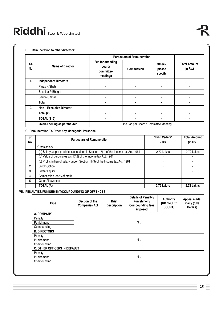#### **B. Remuneration to other directors:**

|            | Name of Director               |                                                      | <b>Particulars of Remuneration</b>    |                              |                                 |  |  |  |  |
|------------|--------------------------------|------------------------------------------------------|---------------------------------------|------------------------------|---------------------------------|--|--|--|--|
| Sr.<br>No. |                                | Fee for attending<br>board/<br>committee<br>meetings | <b>Commission</b>                     | Others,<br>please<br>specify | <b>Total Amount</b><br>(in Rs.) |  |  |  |  |
| 1.         | <b>Independent Directors</b>   |                                                      |                                       |                              |                                 |  |  |  |  |
|            | Paras K Shah                   |                                                      |                                       | $\blacksquare$               |                                 |  |  |  |  |
|            | Shankar P Bhagat               |                                                      |                                       | $\blacksquare$               |                                 |  |  |  |  |
|            | Saurin S Shah                  |                                                      |                                       |                              |                                 |  |  |  |  |
|            | Total                          | $\blacksquare$                                       |                                       | ۰                            |                                 |  |  |  |  |
| 2.         | Non - Executive Director       | $\blacksquare$                                       |                                       | $\blacksquare$               |                                 |  |  |  |  |
|            | Total (2)                      | $\blacksquare$                                       |                                       | $\blacksquare$               |                                 |  |  |  |  |
|            | TOTAL $(1+2)$                  | ٠                                                    |                                       | $\blacksquare$               |                                 |  |  |  |  |
|            | Overall celling as per the Act |                                                      | One Lac per Board / Committee Meeting |                              |                                 |  |  |  |  |

**C. Remuneration To Other Key Managerial Personnel:**

| Sr.<br>No. | <b>Particulars of Remuneration</b>                                                  | Nikhil Vadera*<br>- CS | <b>Total Amount</b><br>(in Rs.) |
|------------|-------------------------------------------------------------------------------------|------------------------|---------------------------------|
| 1.         | Gross salary                                                                        |                        |                                 |
|            | (a) Salary as per provisions contained in Section 17(1) of the Income-tax Act, 1961 | 2.72 Lakhs             | 2.72 Lakhs                      |
|            | (b) Value of perquisites u/s 17(2) of the Income tax Act, 1961                      |                        |                                 |
|            | (c) Profits in lieu of salary under Section 17(3) of the Income tax Act, 1961       |                        |                                 |
| 2.         | <b>Stock Option</b>                                                                 |                        |                                 |
| 3.         | <b>Sweat Equity</b>                                                                 |                        |                                 |
| 4.         | Commission as % of profit                                                           | -                      |                                 |
| 5.         | Other Allowances                                                                    | $\blacksquare$         |                                 |
|            | TOTAL (A)                                                                           | 2.72 Lakhs             | 2.72 Lakhs                      |

## **VII. PENALTIES/PUNISHMENT/COMPOUNDING OF OFFENCES:**

| <b>Type</b>                         | Section of the<br><b>Companies Act</b> | <b>Brief</b><br><b>Description</b> | Details of Penalty /<br><b>Punishment/</b><br><b>Compounding fees</b><br>imposed | <b>Authority</b><br>[RD / NCLT/<br>COURT] | Appeal made,<br>if any (give<br>Details) |
|-------------------------------------|----------------------------------------|------------------------------------|----------------------------------------------------------------------------------|-------------------------------------------|------------------------------------------|
| A. COMPANY                          |                                        |                                    |                                                                                  |                                           |                                          |
| Penalty                             |                                        |                                    |                                                                                  |                                           |                                          |
| Punishment                          |                                        |                                    | <b>NIL</b>                                                                       |                                           |                                          |
| Compounding                         |                                        |                                    |                                                                                  |                                           |                                          |
| <b>B. DIRECTORS</b>                 |                                        |                                    |                                                                                  |                                           |                                          |
| Penalty                             |                                        |                                    |                                                                                  |                                           |                                          |
| Punishment                          |                                        |                                    | <b>NIL</b>                                                                       |                                           |                                          |
| Compounding                         |                                        |                                    |                                                                                  |                                           |                                          |
| <b>C. OTHER OFFICERS IN DEFAULT</b> |                                        |                                    |                                                                                  |                                           |                                          |
| Penalty                             |                                        |                                    |                                                                                  |                                           |                                          |
| Punishment                          |                                        |                                    | <b>NIL</b>                                                                       |                                           |                                          |
| Compounding                         |                                        |                                    |                                                                                  |                                           |                                          |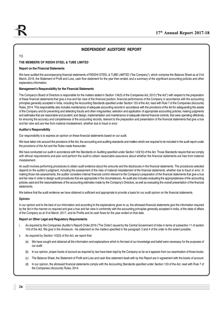## **INDEPENDENT AUDITORS' REPORT**

## TO

#### **THE MEMBERS OF RIDDHI STEEL & TUBE LIMITED**

#### **Report on the Financial Statements**

We have audited the accompanying financial statements of RIDDHI STEEL & TUBE LIMITED ("the Company"), which comprise the Balance Sheet as at 31st March, 2018, the Statement of Profit and Loss, cash flow statement for the year then ended, and a summary of the significant accounting policies and other explanatory information.

#### **Management's Responsibility for the Financial Statements**

The Company's Board of Directors is responsible for the matters stated in Section 134(5) of the Companies Act, 2013 ("the Act") with respect to the preparation of these financial statements that give a true and fair view of the financial position, financial performance of the Company in accordance with the accounting principles generally accepted in India, including the Accounting Standards specified under Section 133 of the Act, read with Rule 7 of the Companies (Accounts) Rules, 2014. This responsibility also includes maintenance of adequate accounting records in accordance with the provisions of the Act for safeguarding the assets of the Company and for preventing and detecting frauds and other irregularities; selection and application of appropriate accounting policies; making judgments and estimates that are reasonable and prudent; and design, implementation and maintenance of adequate internal financial controls, that were operating effectively for ensuring the accuracy and completeness of the accounting records, relevant to the preparation and presentation of the financial statements that give a true and fair view and are free from material misstatement, whether due to fraud or error.

#### **Auditor's Responsibility**

Our responsibility is to express an opinion on these financial statements based on our audit.

We have taken into account the provisions of the Act, the accounting and auditing standards and matters which are required to be included in the audit report under the provisions of the Act and the Rules made thereunder.

We have conducted our audit in accordance with the Standards on Auditing specified under Section 143(10) of the Act. Those Standards require that we comply with ethical requirements and plan and perform the audit to obtain reasonable assurance about whether the financial statements are free from material misstatement.

An audit involves performing procedures to obtain audit evidence about the amounts and the disclosures in the financial statements. The procedures selected depend on the auditor's judgment, including the assessment of the risks of material misstatement of the financial statements, whether due to fraud or error. In making those risk assessments, the auditor considers internal financial control relevant to the Company's preparation of the financial statements that give a true and fair view in order to design audit procedures that are appropriate in the circumstances. An audit also includes evaluating the appropriateness of the accounting policies used and the reasonableness of the accounting estimates made by the Company's Directors, as well as evaluating the overall presentation of the financial statements.

We believe that the audit evidence we have obtained is sufficient and appropriate to provide a basis for our audit opinion on the financial statements.

#### **Opinion**

In our opinion and to the best of our information and according to the explanations given to us, the aforesaid financial statements give the information required by the Act in the manner so required and give a true and fair view in conformity with the accounting principles generally accepted in India, of the state of affairs of the Company as at 31st March, 2017, and its Profits and its cash flows for the year ended on that date.

#### **Report on Other Legal and Regulatory Requirements**

- i. As required by the Companies (Auditor's Report) Order,2016 ('The Order') issued by the Central Government of India in terms of subsection 11 of section 143 of the Act, We give in the Annexure - Aa statement on the matters specified in the paragraph 3 and 4 of the order to the extent possible.
- ii. As required by Section 143(3) of the Act, we report that:
	- (a) We have sought and obtained all the information and explanations which to the best of our knowledge and belief were necessary for the purposes of our audit.
	- (b) In our opinion, proper books of account as required by law have been kept by the Company so far as it appears from our examination of those books.
	- (c) The Balance Sheet, the Statement of Profit and Loss and cash flow statement dealt with by this Report are in agreement with the books of account.
	- (d) In our opinion, the aforesaid financial statements comply with the Accounting Standards specified under Section 133 of the Act, read with Rule 7 of the Companies (Accounts) Rules, 2014.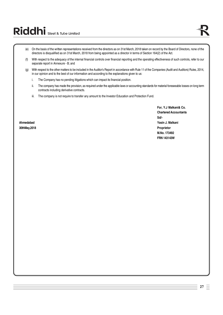- (e) On the basis of the written representations received from the directors as on 31st March, 2018 taken on record by the Board of Directors, none of the directors is disqualified as on 31st March, 2018 from being appointed as a director in terms of Section 164(2) of the Act.
- (f) With respect to the adequacy of the internal financial controls over financial reporting and the operating effectiveness of such controls, refer to our separate report in Annexure - B; and
- (g) With respect to the other matters to be included in the Auditor's Report in accordance with Rule 11 of the Companies (Audit and Auditors) Rules, 2014, in our opinion and to the best of our information and according to the explanations given to us:
	- i. The Company has no pending litigations which can impact its financial position.
	- ii. The company has made the provision, as required under the applicable laws or accounting standards for material foreseeable losses on long term contracts including derivative contracts.
	- iii. The company is not require to transfer any amount to the Investor Education and Protection Fund.

**For, Y.J Malkani& Co. Chartered Accountants Sd/- Ahmedabad Yasin J. Malkani M.No. 173492 FRN 143143W**

**30thMay,2018 Proprietor**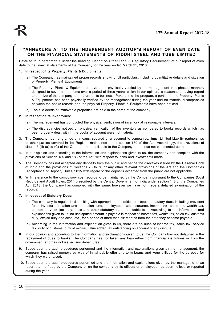## **"ANNEXURE A" TO THE INDEPENDENT AUDITOR'S REPORT OF EVEN DATE ON THE FINANCIAL STATEMENTS OF RIDDHI STEEL AND TUBE LIMITED**

Referred to in paragraph 1 under the heading 'Report on Other Legal & Regulatory Requirement' of our report of even date to the financial statements of the Company for the year ended March 31, 2018:

#### **1. In respect of its Property, Plants & Equipments:**

- (a) The Company has maintained proper records showing full particulars, including quantitative details and situation of Property, Plants & Equipments;
- (b) The Property, Plants & Equipments have been physically verified by the management in a phased manner, designed to cover all the items over a period of three years, which in our opinion, is reasonable having regard to the size of the company and nature of its business. Pursuant to the program, a portion of the Property, Plants & Equipments has been physically verified by the management during the year and no material discrepancies between the books records and the physical Property, Plants & Equipments have been noticed.
- (c) The title deeds of immovable properties are held in the name of the company.

#### **2. In respect of its Inventories:**

- (a) The management has conducted the physical verification of inventory at reasonable intervals.
- (b) The discrepancies noticed on physical verification of the inventory as compared to books records which has been properly dealt with in the books of account were not material.
- 3. The Company has not granted any loans, secured or unsecured to companies, firms, Limited Liability partnerships or other parties covered in the Register maintained under section 189 of the Act. Accordingly, the provisions of clause 3 (iii) (a) to (C) of the Order are not applicable to the Company and hence not commented upon.
- 4. In our opinion and according to the information and explanations given to us, the company has complied with the provisions of Section 185 and 186 of the Act, with respect to loans and investments made.
- 5. The Company has not accepted any deposits from the public and hence the directives issued by the Reserve Bank of India and the provisions of Sections 73 to 76 or any other relevant provisions of the Act and the Companies (Acceptance of Deposit) Rules, 2015 with regard to the deposits accepted from the public are not applicable
- 6. With reference to the compulsory cost records to be maintained by the Company pursuant to the Companies (Cost Records and Audit) Rules, 2014 prescribed by the Central Government of India under section 148 of the Companies Act, 2013, the Company has complied with the same; however we have not made a detailed examination of the records.

#### **7. In respect of Statutory Dues:**

- (a) The company is regular in depositing with appropriate authorities undisputed statutory dues including provident fund, investor education and protection fund, employee's state insurance, income tax, sales tax, wealth tax, custom duty, excise duty, cess and other statutory dues applicable to it. According to the information and explanations given to us, no undisputed amount is payable in respect of income tax, wealth tax, sales tax, customs duty, excise duty and cess, etc., for a period of more than six months from the date they became payable.
- (b) According to the information and explanation given to us, there are no dues of income tax, sales tax, service tax, duty of customs, duty of excise, value added tax outstanding on account of any dispute.
- 8. In our opinion and according to the information and explanations given to us, the Company has not defaulted in the repayment of dues to banks. The Company has not taken any loan either from financial institutions or from the government and has not issued any debentures.
- 9. Based upon the audit procedures performed and the information and explanations given by the management, the company has raised moneys by way of initial public offer and term Loans and were utilized for the purpose for which they were raised.
- 10. Based upon the audit procedures performed and the information and explanations given by the management, we report that no fraud by the Company or on the company by its officers or employees has been noticed or reported during the year.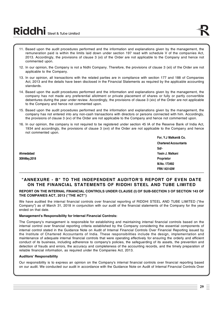# Riddhi Steel & Tube Limited

- 11. Based upon the audit procedures performed and the information and explanations given by the management, the remuneration paid is within the limits laid down under section 197 read with schedule V of the companies Act, 2013. Accordingly, the provisions of clause 3 (xi) of the Order are not applicable to the Company and hence not commented upon.
- 12. In our opinion, the Company is not a Nidhi Company. Therefore, the provisions of clause 3 (xii) of the Order are not applicable to the Company.
- 13. In our opinion, all transactions with the related parties are in compliance with section 177 and 188 of Companies Act, 2013 and the details have been disclosed in the Financial Statements as required by the applicable accounting standards.
- 14. Based upon the audit procedures performed and the information and explanations given by the management, the company has not made any preferential allotment or private placement of shares or fully or partly convertible debentures during the year under review. Accordingly, the provisions of clause 3 (xiv) of the Order are not applicable to the Company and hence not commented upon.
- 15. Based upon the audit procedures performed and the information and explanations given by the management, the company has not entered into any non-cash transactions with directors or persons connected with him. Accordingly, the provisions of clause 3 (xv) of the Order are not applicable to the Company and hence not commented upon.
- 16. In our opinion, the company is not required to be registered under section 45 IA of the Reserve Bank of India Act, 1934 and accordingly, the provisions of clause 3 (xvi) of the Order are not applicable to the Company and hence not commented upon.

**30thMay,2018 Proprietor**

**For, Y.J Malkani& Co. Chartered Accountants Sd/- Ahmedabad Yasin J. Malkani M.No. 173492 FRN 143143W**

## **"ANNEXURE - B" TO THE INDEPENDENT AUDITOR'S REPORT OF EVEN DATE ON THE FINANCIAL STATEMENTS OF RIDDHI STEEL AND TUBE LIMITED**

## **REPORT ON THE INTERNAL FINANCIAL CONTROLS UNDER CLAUSE (I) OF SUB-SECTION 3 OF SECTION 143 OF THE COMPANIES ACT, 2013 ("THE ACT")**

We have audited the internal financial controls over financial reporting of RIDDHI STEEL AND TUBE LIMITED ("the Company") as of March 31, 2018 in conjunction with our audit of the financial statements of the Company for the year ended on that date.

## **Management's Responsibility for Internal Financial Controls:**

The Company's management is responsible for establishing and maintaining internal financial controls based on the internal control over financial reporting criteria established by the Company considering the essential components of internal control stated in the Guidance Note on Audit of Internal Financial Controls Over Financial Reporting issued by the Institute of Chartered Accountants of India. These responsibilities include the design, implementation and maintenance of adequate internal financial controls that were operating effectively for ensuring the orderly and efficient conduct of its business, including adherence to company's policies, the safeguarding of its assets, the prevention and detection of frauds and errors, the accuracy and completeness of the accounting records, and the timely preparation of reliable financial information, as required under the Companies Act, 2013.

## **Auditors' Responsibility**

Our responsibility is to express an opinion on the Company's internal financial controls over financial reporting based on our audit. We conducted our audit in accordance with the Guidance Note on Audit of Internal Financial Controls Over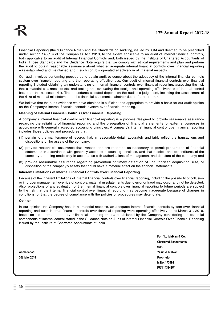Financial Reporting (the "Guidance Note") and the Standards on Auditing, issued by ICAI and deemed to be prescribed under section 143(10) of the Companies Act, 2013, to the extent applicable to an audit of internal financial controls, both applicable to an audit of Internal Financial Controls and, both issued by the Institute of Chartered Accountants of India. Those Standards and the Guidance Note require that we comply with ethical requirements and plan and perform the audit to obtain reasonable assurance about whether adequate internal financial controls over financial reporting was established and maintained and if such controls operated effectively in all material respects.

Our audit involves performing procedures to obtain audit evidence about the adequacy of the internal financial controls system over financial reporting and their operating effectiveness. Our audit of internal financial controls over financial reporting included obtaining an understanding of internal financial controls over financial reporting, assessing the risk that a material weakness exists, and testing and evaluating the design and operating effectiveness of internal control based on the assessed risk. The procedures selected depend on the auditor's judgement, including the assessment of the risks of material misstatement of the financial statements, whether due to fraud or error.

We believe that the audit evidence we have obtained is sufficient and appropriate to provide a basis for our audit opinion on the Company's internal financial controls system over financial reporting.

#### **Meaning of Internal Financial Controls Over Financial Reporting**

A company's internal financial control over financial reporting is a process designed to provide reasonable assurance regarding the reliability of financial reporting and the preparation of financial statements for external purposes in accordance with generally accepted accounting principles. A company's internal financial control over financial reporting includes those policies and procedures that:

- (1) pertain to the maintenance of records that, in reasonable detail, accurately and fairly reflect the transactions and dispositions of the assets of the company;
- (2) provide reasonable assurance that transactions are recorded as necessary to permit preparation of financial statements in accordance with generally accepted accounting principles, and that receipts and expenditures of the company are being made only in accordance with authorisations of management and directors of the company; and
- (3) provide reasonable assurance regarding prevention or timely detection of unauthorised acquisition, use, or disposition of the company's assets that could have a material effect on the financial statements.

#### **Inherent Limitations of Internal Financial Controls Over Financial Reporting**

Because of the inherent limitations of internal financial controls over financial reporting, including the possibility of collusion or improper management override of controls, material misstatements due to error or fraud may occur and not be detected. Also, projections of any evaluation of the internal financial controls over financial reporting to future periods are subject to the risk that the internal financial control over financial reporting may become inadequate because of changes in conditions, or that the degree of compliance with the policies or procedures may deteriorate.

#### **Opinion**

In our opinion, the Company has, in all material respects, an adequate internal financial controls system over financial reporting and such internal financial controls over financial reporting were operating effectively as at March 31, 2018, based on the internal control over financial reporting criteria established by the Company considering the essential components of internal control stated in the Guidance Note on Audit of Internal Financial Controls Over Financial Reporting issued by the Institute of Chartered Accountants of India.

**For, Y.J Malkani& Co. Chartered Accountants Sd/- Ahmedabad Yasin J. Malkani M.No. 173492 FRN 143143W**

**30thMay,2018 Proprietor**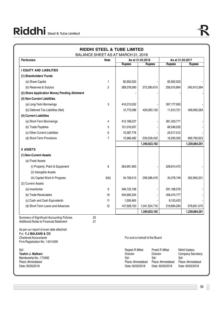|                                                                                                                                   | BALANCE SHEET AS AT MARCH 31, 2018 |                                                                             |                                   |                                                                     |                                           |                                       |
|-----------------------------------------------------------------------------------------------------------------------------------|------------------------------------|-----------------------------------------------------------------------------|-----------------------------------|---------------------------------------------------------------------|-------------------------------------------|---------------------------------------|
| <b>Particulars</b>                                                                                                                | Note                               | <b>Rupees</b>                                                               | As at 31.03.2018<br><b>Rupees</b> | <b>Rupees</b>                                                       | As at 31.03.2017                          | <b>Rupees</b>                         |
| <b>I EQUITY AND LIABILITIES</b>                                                                                                   |                                    |                                                                             |                                   |                                                                     |                                           |                                       |
|                                                                                                                                   |                                    |                                                                             |                                   |                                                                     |                                           |                                       |
| (1) Shareholders' Funds                                                                                                           |                                    |                                                                             |                                   |                                                                     |                                           |                                       |
| (a) Share Capital                                                                                                                 | 1                                  | 82,902,520                                                                  |                                   | 82,902,520                                                          |                                           |                                       |
| (b) Reserves & Surplus                                                                                                            | $\overline{c}$                     | 289,378,090                                                                 | 372,280,610                       | 258,010,864                                                         |                                           | 340,913,384                           |
| (2) Share Application Money Pending Allotment                                                                                     |                                    |                                                                             |                                   |                                                                     |                                           |                                       |
| (3) Non-Current Liabilities                                                                                                       |                                    |                                                                             |                                   |                                                                     |                                           |                                       |
| (a) Long-Term Borrowings                                                                                                          | 3                                  | 416,313,052                                                                 |                                   | 397,177,563                                                         |                                           |                                       |
| (b) Deferred Tax Liabilities (Net)                                                                                                |                                    | 12,770,098                                                                  | 429,083,150                       | 11,812,721                                                          |                                           | 408,990,284                           |
| (4) Current Liabilities                                                                                                           |                                    |                                                                             |                                   |                                                                     |                                           |                                       |
| (a) Short-Term Borrowings                                                                                                         | 4                                  | 412,188,237                                                                 |                                   | 381,423,771                                                         |                                           |                                       |
| (b) Trade Payables                                                                                                                | 5                                  | 101,016,937                                                                 |                                   | 66,546,035                                                          |                                           |                                       |
| (c) Other Current Liabilities                                                                                                     | 6                                  | 10,387,776                                                                  |                                   | 25,517,512                                                          |                                           |                                       |
| (d) Short-Term Provisions                                                                                                         | $\overline{7}$                     | 15,966,482                                                                  | 539,559,432                       | 16,293,305                                                          |                                           | 489,780,623                           |
|                                                                                                                                   |                                    |                                                                             | 1,340,923,192                     |                                                                     |                                           | 1,239,684,291                         |
| <b>II ASSETS</b>                                                                                                                  |                                    |                                                                             |                                   |                                                                     |                                           |                                       |
| (1) Non-Current Assets                                                                                                            |                                    |                                                                             |                                   |                                                                     |                                           |                                       |
| (a) Fixed Assets                                                                                                                  |                                    |                                                                             |                                   |                                                                     |                                           |                                       |
| (i) Property, Plant & Equipment                                                                                                   | 8                                  | 264,691,963                                                                 |                                   | 228,614,472                                                         |                                           |                                       |
| (ii) Intangible Assets                                                                                                            |                                    |                                                                             |                                   |                                                                     |                                           |                                       |
| (iii) Capital Work In Progress                                                                                                    | 8(A)                               | 34,706,513                                                                  | 299,398,476                       | 34,378,749                                                          |                                           | 262,993,221                           |
| (2) Current Assets                                                                                                                |                                    |                                                                             |                                   |                                                                     |                                           |                                       |
| (a) Inventories                                                                                                                   | 9                                  | 346,132,198                                                                 |                                   | 291,168,576                                                         |                                           |                                       |
| (b) Trade Receivables                                                                                                             | 10                                 | 545,905,334                                                                 |                                   | 458,474,777                                                         |                                           |                                       |
| (c) Cash and Cash Equivalents                                                                                                     | 11                                 | 1,558,465                                                                   |                                   | 8,153,423                                                           |                                           |                                       |
| (d) Short-Term Loans and Advances                                                                                                 | 12                                 | 147,928,720                                                                 | 1,041,524,716                     | 218,894,294                                                         |                                           | 976,691,070                           |
|                                                                                                                                   |                                    |                                                                             | 1,340,923,192                     |                                                                     |                                           | 1,239,684,291                         |
| Summary of Significant Accounting Policies<br><b>Additional Notes to Financial Statement</b>                                      | 20                                 |                                                                             |                                   |                                                                     |                                           |                                       |
| As per our report of even date attached<br>For, Y.J MALKANI & CO<br><b>Chartered Accountants</b><br>Firm Registration No: 143143W | 21                                 |                                                                             | For and on behalf of the Board    |                                                                     |                                           |                                       |
| Sd/-<br>Yashin J. Malkani<br>Membership No.: 173492<br>Place: Ahmedabad<br>Date: 30/05/2018                                       |                                    | Rajesh R Mittal<br>Director<br>Sd/-<br>Place: Ahmedabad<br>Date: 30/05/2018 | Sd/-                              | Preeti R Mittal<br>Director<br>Place: Ahmedabad<br>Date: 30/05/2018 | Nikhil Vadera<br>Sd/-<br>Date: 30/05/2018 | Company Secretary<br>Place: Ahmedabad |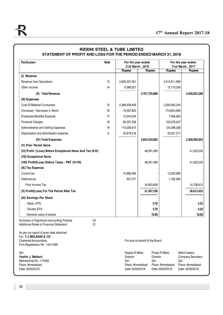| <b>Particulars</b>                                                                                                                | <b>Note</b> | For the year ended                                                               |                                |                                                                               | For the year ended<br>31st March, 2017                                                    |
|-----------------------------------------------------------------------------------------------------------------------------------|-------------|----------------------------------------------------------------------------------|--------------------------------|-------------------------------------------------------------------------------|-------------------------------------------------------------------------------------------|
|                                                                                                                                   |             | 31st March, 2018<br><b>Rupees</b>                                                | <b>Rupees</b>                  | <b>Rupees</b>                                                                 | <b>Rupees</b>                                                                             |
| (I) Revenue                                                                                                                       |             |                                                                                  |                                |                                                                               |                                                                                           |
| Revenue from Operations                                                                                                           | 13          | 2,695,337,361                                                                    |                                | 2,415,811,995                                                                 |                                                                                           |
| Other Income                                                                                                                      | 14          | 6,388,527                                                                        |                                | 15,110,293                                                                    |                                                                                           |
| (II) Total Revenue                                                                                                                |             |                                                                                  | 2,701,725,888                  |                                                                               | 2,430,922,288                                                                             |
| (III) Expenses                                                                                                                    |             |                                                                                  |                                |                                                                               |                                                                                           |
| <b>Cost Of Material Consumed</b>                                                                                                  | 15          | 2,388,439,409                                                                    |                                | 2,200,562,244                                                                 |                                                                                           |
| (Increase) / Decrease in Stock                                                                                                    | 16          | 19,597,823                                                                       |                                | (74,903,438)                                                                  |                                                                                           |
| <b>Employee Benefits Expense</b>                                                                                                  | 17          | 12,044,204                                                                       |                                | 7,046,483                                                                     |                                                                                           |
| <b>Financial Charges</b>                                                                                                          | 18          | 85,307,536                                                                       |                                | 103,276,947                                                                   |                                                                                           |
| Administrative and Selling Expenses                                                                                               | 19          | 115,226,615                                                                      |                                | 120,396,306                                                                   |                                                                                           |
| Depreciation and Amortisation expense                                                                                             | 8           | 32,819,216                                                                       |                                | 33,021,511                                                                    |                                                                                           |
| (IV) Total Expenses                                                                                                               |             |                                                                                  | 2,653,434,802                  |                                                                               | 2,389,400,053                                                                             |
| (V) Prior Period Items                                                                                                            |             |                                                                                  |                                |                                                                               |                                                                                           |
| (VI) Profit / (Loss) Before Exceptional Items And Tax (II-IV)                                                                     |             |                                                                                  | 48,291,085                     |                                                                               | 41,522,235                                                                                |
| (VII) Exceptional Items                                                                                                           |             |                                                                                  |                                |                                                                               |                                                                                           |
| (VIII) Profit/(Loss) Before Taxes - PBT (VI-VII)                                                                                  |             |                                                                                  | 48,291,085                     |                                                                               | 41,522,235                                                                                |
| (IX) Tax Expense:                                                                                                                 |             |                                                                                  |                                |                                                                               |                                                                                           |
| Current tax                                                                                                                       |             | 15,966,482                                                                       |                                | 13,525,882                                                                    |                                                                                           |
| Deferred tax                                                                                                                      |             | 957,377                                                                          |                                | 1,182,930                                                                     |                                                                                           |
| Prior Income Tax                                                                                                                  |             |                                                                                  | 16,923,859                     |                                                                               | 14,708,812                                                                                |
| (X) Profit/(Loss) For The Period After Tax                                                                                        |             |                                                                                  | 31,367,226                     |                                                                               | 26,813,423                                                                                |
| (XI) Earnings Per Share                                                                                                           |             |                                                                                  |                                |                                                                               |                                                                                           |
| - Basic EPS                                                                                                                       |             |                                                                                  |                                | 3.78                                                                          | 3.23                                                                                      |
| - Diluted EPS                                                                                                                     |             |                                                                                  |                                | 3.78                                                                          | 3.23                                                                                      |
| - Nominal value of shares                                                                                                         |             |                                                                                  |                                | 10.00                                                                         | 10.00                                                                                     |
| Summary of Significant Accounting Policies<br>20<br><b>Additional Notes to Financial Statement</b><br>21                          |             |                                                                                  |                                |                                                                               |                                                                                           |
| As per our report of even date attached<br>For, Y.J MALKANI & CO<br><b>Chartered Accountants</b><br>Firm Registration No: 143143W |             |                                                                                  | For and on behalf of the Board |                                                                               |                                                                                           |
| Sd/-<br>Yashin J. Malkani<br>Membership No.: 173492<br>Place: Ahmedabad<br>Date: 30/05/2018                                       |             | Rajesh R Mittal<br><b>Director</b><br>Sd<br>Place: Ahmedabad<br>Date: 30/05/2018 |                                | Preeti R Mittal<br>Director<br>$Sd$ .<br>Place: Ahmedabad<br>Date: 30/05/2018 | Nikhil Vadera<br><b>Company Secretary</b><br>Sd/-<br>Place: Ahmedabad<br>Date: 30/05/2018 |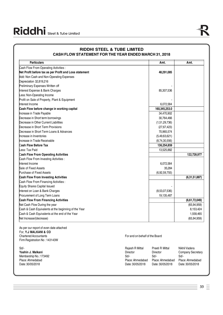| <b>Particulars</b>                                                                               | Amt.                           | Amt.          |
|--------------------------------------------------------------------------------------------------|--------------------------------|---------------|
| Cash Flow From Operating Activities:                                                             |                                |               |
| Net Profit before tax as per Profit and Loss statement                                           | 48,291,085                     |               |
| Add: Non Cash and Non-Operating Expenses                                                         |                                |               |
| Depreciation 32,819,216                                                                          |                                |               |
| Preliminary Expenses Written off                                                                 |                                |               |
| Interest Expense & Bank Charges                                                                  | 85,307,536                     |               |
| ess: Non-Operating Income                                                                        |                                |               |
| Profit on Sale of Property, Plant & Equipment                                                    |                                |               |
| Interest Income                                                                                  | 6,072,584                      |               |
| Cash Flow before change in working capital                                                       | 160,345,253.0                  |               |
| Increase in Trade Payable                                                                        | 34,470,902                     |               |
| Decrease in Short term borrowings                                                                | 30,764,466                     |               |
| Decrease in Other Current Liabilities                                                            | (1,51,29,736)                  |               |
| Decrease in Short Term Provisions                                                                | (27, 67, 423)                  |               |
| Decrease in Short Term Loans & Advances                                                          | 70,965,574                     |               |
| Increase in Inventories                                                                          | (5,49,63,621)                  |               |
| Increase in Trade Receivable                                                                     | (8,74,30,556)                  |               |
| <b>Cash Flow Before Tax</b>                                                                      | 136,254,859                    |               |
| ess: Tax Paid                                                                                    | 13,525,882                     |               |
| <b>Cash Flow From Operating Activities</b>                                                       |                                | 122,728,977   |
| Cash Flow From Investing Activities :                                                            |                                |               |
| Interest Income                                                                                  | 6,072,584                      |               |
| Sale of Fixed Assets                                                                             | 35,284                         |               |
| Purchase of Fixed Assets                                                                         | (6,92,59,755)                  |               |
| <b>Cash Flow From Investing Activities</b>                                                       |                                | (6,31,51,887) |
| Cash Flow From Financing Activities:                                                             |                                |               |
| Equity Shares Capital Issued                                                                     |                                |               |
| Interest on Loan & Bank Charges                                                                  | (8,53,07,536)                  |               |
| Procurement of Long Term Loans                                                                   | 19,135,487                     |               |
| <b>Cash Flow From Financing Activities</b>                                                       |                                | (6,61,72,049) |
| Net Cash Flow During the year                                                                    |                                | (65, 94, 959) |
| Cash & Cash Equivalents at the beginning of the Year                                             |                                | 8,153,424     |
| Cash & Cash Equivalents at the end of the Year                                                   |                                | 1,558,465     |
| Net Increase/(decrease)                                                                          |                                | (65, 94, 959) |
| As per our report of even date attached<br>For, Y.J MALKANI & CO<br><b>Chartered Accountants</b> | For and on behalf of the Board |               |

| Raiesh R Mittal  | Preeti R Mittal  | Nikhil Vadera     |
|------------------|------------------|-------------------|
| Director         | Director         | Company Secretary |
| Sd/-             | Sd/-             | Sd/-              |
| Place: Ahmedabad | Place: Ahmedabad | Place: Ahmedabad  |
| Date: 30/05/2018 | Date: 30/05/2018 | Date: 30/05/2018  |
|                  |                  |                   |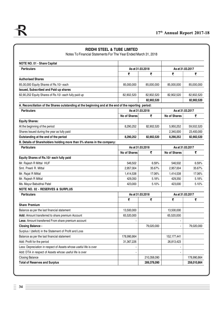| Notes To Financial Statements For The Year Ended March 31, 2018                                      | <b>RIDDHI STEEL &amp; TUBE LIMITED</b> |                  |                     |                  |
|------------------------------------------------------------------------------------------------------|----------------------------------------|------------------|---------------------|------------------|
| NOTE NO. 01 - Share Capital                                                                          |                                        |                  |                     |                  |
| <b>Particulars</b>                                                                                   | As at 31,03,2018                       |                  | As at 31.03.2017    |                  |
|                                                                                                      | ₹                                      | ₹                | ₹                   | ₹                |
| <b>Authorised Shares</b>                                                                             |                                        |                  |                     |                  |
| 85,00,000 Equity Shares of Rs.10/- each                                                              | 85,000,000                             | 85,000,000       | 85,000,000          | 85,000,000       |
| Issued, Subscribed and Paid up shares                                                                |                                        |                  |                     |                  |
| 82,90,252 Equity Shares of Rs.10/- each fully paid up                                                | 82,902,520                             | 82,902,520       | 82,902,520          | 82,902,520       |
|                                                                                                      |                                        | 82,902,520       |                     | 82,902,520       |
| A. Reconciliation of the Shares outstanding at the beginning and at the end of the reporting period: |                                        |                  |                     |                  |
| <b>Particulars</b>                                                                                   | As at 31.03.2018                       |                  | As at 31.03.2017    |                  |
|                                                                                                      | <b>No of Shares</b>                    | ₹                | <b>No of Shares</b> | ₹                |
| <b>Equity Shares:</b>                                                                                |                                        |                  |                     |                  |
| At the beginning of the period                                                                       | 8,290,252                              | 82,902,520       | 5,950,252           | 59,502,520       |
| Shares Issued during the year as fully paid                                                          |                                        |                  | 2,340,000           | 23,400,000       |
| Outstanding at the end of the period                                                                 | 8,290,252                              | 82,902,520       | 8,290,252           | 82,902,520       |
| B. Details of Shareholders holding more than 5% shares in the company:                               |                                        |                  |                     |                  |
| <b>Particulars</b>                                                                                   | As at 31,03,2018                       |                  | As at 31.03.2017    |                  |
|                                                                                                      | <b>No of Shares</b>                    | ₹                | No of Shares        | ₹                |
| Equity Shares of Rs.10/- each fully paid                                                             |                                        |                  |                     |                  |
| Mr. Rajesh R Mittal HUF                                                                              | 546,502                                | 6.59%            | 546,502             | 6.59%            |
| Smt. Preeti R. Mittal                                                                                | 2,957,004                              | 35.67%           | 2,957,004           | 35.67%           |
| Mr. Rajat R Mittal                                                                                   | 1,414,538                              | 17.06%           | 1,414,538           | 17.06%           |
| Mr. Rajesh R Mittal                                                                                  | 429,350                                | 5.18%            | 429,350             | 5.18%            |
| Ms. Mayur Babubhai Patel                                                                             | 423,000                                | 5.10%            | 423,000             | 5.10%            |
| <b>NOTE NO. 02 - RESERVES &amp; SURPLUS</b>                                                          |                                        |                  |                     |                  |
| <b>Particulars</b>                                                                                   |                                        | As at 31.03.2018 |                     | As at 31.03.2017 |
|                                                                                                      | ₹                                      | ₹                | ₹                   | ₹                |
| <b>Share Premium</b>                                                                                 |                                        |                  |                     |                  |
| Balance as per the last financial statement                                                          | 13,500,000                             |                  | 13,500,000          |                  |
| Add: Amount transferred to share premium Account                                                     | 65,520,000                             |                  | 65,520,000          |                  |
| Less: Amount transferred From share premium account                                                  |                                        |                  |                     |                  |
| <b>Closing Balance -</b>                                                                             |                                        | 79,020,000       | $\blacksquare$      | 79,020,000       |
| Surplus / (deficit) in the Statement of Profit and Loss                                              |                                        |                  |                     |                  |
| Balance as per the last financial statement                                                          | 178,990,864                            |                  | 152, 177, 441       |                  |
| Add: Profit for the period                                                                           | 31,367,226                             |                  | 26,813,423          |                  |
| Less: Depreciation in respect of Assets whose useful life is over                                    |                                        |                  |                     |                  |
| Add: DTA in respect of Assets whose useful life is over                                              |                                        |                  |                     |                  |
| <b>Closing Balance</b>                                                                               |                                        | 210,358,090      |                     | 178,990,864      |
| <b>Total of Reserves and Surplus</b>                                                                 |                                        | 289,378,090      |                     | 258,010,864      |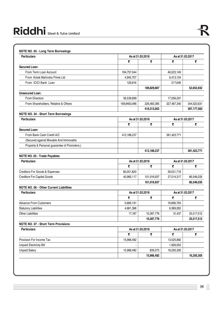| <b>Particulars</b>                             | As at 31.03.2018 |                  | As at 31.03.2017 |                  |  |
|------------------------------------------------|------------------|------------------|------------------|------------------|--|
|                                                | ₹                | ₹                | ₹                | ₹                |  |
| <b>Secured Loan:</b>                           |                  |                  |                  |                  |  |
| From Term Loan Account                         | 184,757,044      |                  | 46,023,149       |                  |  |
| From Kotak Mahindra Prime Ltd                  | 4,945,707        |                  | 6,413,134        |                  |  |
| From ICICI Bank Loan                           | 126,916          |                  | 217,649          |                  |  |
|                                                |                  | 189,829,667      |                  | 52,653,932       |  |
| <b>Unsecured Loan:</b>                         |                  |                  |                  |                  |  |
| <b>From Directors</b>                          | 56,539,899       |                  | 17,056,291       |                  |  |
| From Shareholders, Relative & Others           | 169,9463,486     | 226,483,385      | 327,467,340      | 344,523,631      |  |
|                                                |                  | 416,313,052      |                  | 397,177,563      |  |
| NOTE NO. 04 - Short Term Borrowings            |                  |                  |                  |                  |  |
| <b>Particulars</b>                             | As at 31.03.2018 |                  | As at 31.03.2017 |                  |  |
|                                                | ₹                | ₹                | ₹                | ₹                |  |
| <b>Secured Loan:</b>                           |                  |                  |                  |                  |  |
| From Bank Cash Credit A/C                      | 412,188,237      |                  | 381,423,771      |                  |  |
| (Secured against Movable And Immovable         |                  |                  |                  |                  |  |
| Property & Personal guarantee of Promoters.)   |                  |                  |                  |                  |  |
|                                                |                  | 412,188,237      |                  | 381,423,771      |  |
| NOTE NO. 05 - Trade Payables                   |                  |                  |                  |                  |  |
| <b>Particulars</b>                             |                  | As at 31.03.2018 |                  | As at 31.03.2017 |  |
|                                                | ₹                | ₹                | ₹                | ₹                |  |
| Creditors For Goods & Expenses                 | 60,051,820       |                  | 39,031,718       |                  |  |
| <b>Creditors For Capital Goods</b>             | 40,965,117       | 101,016,937      | 27,514,317       | 66,546,035       |  |
|                                                |                  | 101,016,937      |                  | 66,546,035       |  |
| <b>NOTE NO. 06 - Other Current Liabilities</b> |                  |                  |                  |                  |  |
| <b>Particulars</b>                             | As at 31.03.2018 |                  | As at 31.03.2017 |                  |  |
|                                                | ₹                | ₹                | ₹                | ₹                |  |
| <b>Advance From Customers</b>                  | 5,689,191        |                  | 18,896,793       |                  |  |
| <b>Statutory Liabilities</b>                   | 4,681,398        |                  | 6,589,282        |                  |  |
| <b>Other Liabilities</b>                       | 17,187           | 10,387,776       | 31,437           | 25,517,512       |  |
|                                                |                  | 10,387,776       |                  | 25,517,512       |  |
| <b>NOTE NO. 07 - Short Term Provisions</b>     |                  |                  |                  |                  |  |
| <b>Particulars</b>                             | As at 31.03.2018 |                  | As at 31.03.2017 |                  |  |
|                                                | ₹                | ₹                | ₹                | ₹                |  |
| Provision For Income Tax                       | 15,966,482       |                  | 13,525,882       |                  |  |
| <b>Unpaid Electricity Bill</b>                 |                  |                  | 1,928,050        |                  |  |
| <b>Unpaid Salary</b>                           | 15,966,482       | 839,373          | 16,293,305       |                  |  |
|                                                |                  | 15,966,482       |                  | 16,293,305       |  |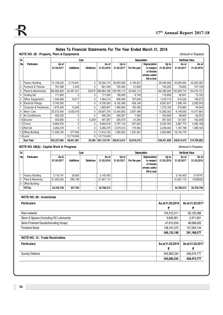| Sr.                  |                                           |                     | Cost             |                  |                         |                      | Depreciation   |                                                                         |                       | Net Book Value              |                                                                   |
|----------------------|-------------------------------------------|---------------------|------------------|------------------|-------------------------|----------------------|----------------|-------------------------------------------------------------------------|-----------------------|-----------------------------|-------------------------------------------------------------------|
| No.                  | <b>Particulars</b>                        | As at<br>01.04.2017 | <b>Additions</b> | <b>Deletions</b> | As at<br>31.03.2018     | Up to<br>31.03.2017  | For the year   | Depreciation<br>in respect<br>of Assets<br>whose useful<br>life is over | Up to<br>31.03.2018   | As at<br>31.03.2017         | As at<br>31.03.2016                                               |
|                      | <b>Factory Building</b>                   | 74,158,532          | 2,175,641        | 0                | 76,334,173              | 30,853,598           | 4,194,831      |                                                                         | 35,048,429            | 43,304,934                  | 42,262,582                                                        |
| 2                    | <b>Furniture &amp; Fixtures</b>           | 797,298             | 4,250            | 0                | 801,548                 | 720,463              | 21,830         |                                                                         | 742.293               | 76,835                      | 107,728                                                           |
| 3                    | <b>Plants &amp; Machineries</b>           | 292,695,823         | 45,397,421       | 29,075           | 338,064,169 139,766,113 |                      | 22,623,113     |                                                                         | 162,389,226           | 152,929,710                 | 154,216,131                                                       |
| 4                    | <b>Cooling Set</b>                        | 171,000             | 0                | 0                | 171,000                 | 108,059              | 8,749          |                                                                         | 116,808               | 62,941                      | 73,102                                                            |
| 5                    | Office Equipment's                        | 1,344,698           | 19,517           | 0                | 1,364,215               | 828,464              | 187,646        |                                                                         | 1,016,110             | 516,234                     | 136,272                                                           |
| 6                    | <b>Electrical Fittings</b>                | 9,700,593           | $\Omega$         | 0                | 9,700,593               | 8,102,489            | 459,148        |                                                                         | 8,561,637             | 1,598,104                   | 2,265,043                                                         |
|                      | Computer & Peripherals                    | 1,670,549           | 13,348           | 0                | 1,683,897               | 1,090,665            | 182,495        |                                                                         | 1,273,160             | 579,884                     | 94,548                                                            |
| 8                    | Motor Cars                                | 20,573,458          | 8,033,918        | 0                | 28,607,376              | 12,424,803           | 2,857,499      |                                                                         | 15,282,302            | 8,148,655                   | 10,477,664                                                        |
| 9                    | <b>Air Conditioners</b>                   | 495,230             | 0                | 0                | 495,230                 | 428,307              | 7,392          |                                                                         | 435,699               | 66,923                      | 82,543                                                            |
|                      | 10 Scooter                                | 453,606             | 0                | 6,209            | 447,397                 | 325,675              | 31,348         |                                                                         | 357,023               | 127,931                     | 102,038                                                           |
|                      | 11 Crane                                  | 9,664,918           | 0                | 0                | 9,664,918               | 5,797,144            | 537,620        |                                                                         | 6,334,764             | 3,867,774                   | 4,492,188                                                         |
|                      | 12 Roll Set                               | 3,265,279           | 0                | 0                | 3,265,279               | 2,073,510            | 175,984        |                                                                         | 2,249,494             | 1,191,769                   | 1,396,163                                                         |
|                      | 13 Office Building                        | 17,236,100          | 577,050          | 0                | 17,813,150              | 1,093,322            | 1,531,561      |                                                                         | 2,624,883             | 16, 142, 778                |                                                                   |
|                      | 14 Land                                   |                     | 12,710,846       | 0                | 12,710,846              |                      |                |                                                                         |                       |                             |                                                                   |
|                      | Sub Total                                 | 432,227,084         | 68,931,991       | 35,284           | 501,123,791 203,612,612 |                      | 32,819,216     |                                                                         |                       | $- 236,431,828 228,614,472$ | 215,706,002                                                       |
|                      | NOTE NO. 08(A) : Capital Work In Progress |                     |                  |                  |                         |                      |                |                                                                         |                       |                             | (Amount in Rupees)                                                |
|                      | <b>Particulars</b>                        | As at               | Cost             |                  | As at                   | Up to                | Depreciation   | Depreciation                                                            | Up to                 | Net Book Value<br>As at     |                                                                   |
|                      |                                           | 01.04.2017          | <b>Additions</b> | <b>Deletions</b> | 31.03.2018              | 31.03.2017           | For the year   | in respect<br>of Assets<br>whose useful<br>life is over                 | 31.03.2018            | 31.03.2017                  |                                                                   |
|                      | <b>Factory Building</b>                   | 3,116,747           | 28,656           | $\blacksquare$   | 3,145,403               | $\blacksquare$       |                |                                                                         | $\sim$                | 3,145,403                   |                                                                   |
| 1.                   | Plant & Machinery                         | 31,262,002          | 299,108          | $\blacksquare$   | 31,561,110              | $\blacksquare$       | $\blacksquare$ |                                                                         |                       | 31,561,110                  | As at<br>31.03.2016<br>3116747<br>31262002                        |
|                      | Office Building                           |                     |                  | $\blacksquare$   |                         | $\ddot{\phantom{0}}$ |                |                                                                         |                       |                             |                                                                   |
|                      | TOTAL                                     | 34,378,749          | 327,764          | $\blacksquare$   | 34,706,513              | $\blacksquare$       |                |                                                                         |                       | 34,706,513                  |                                                                   |
|                      | NOTE NO. 09 - Inventories                 |                     |                  |                  |                         |                      |                |                                                                         |                       |                             |                                                                   |
|                      | <b>Particulars</b>                        |                     |                  |                  |                         |                      |                |                                                                         | As at 31,03,2018<br>₹ |                             | ₹                                                                 |
|                      | Raw material                              |                     |                  |                  |                         |                      |                |                                                                         | 154,312,311           |                             | 83,125,366                                                        |
|                      | Store & Spares (Including Oil Lubricants) |                     |                  |                  |                         |                      |                |                                                                         |                       | 5,845,561                   | 2,471,061                                                         |
|                      | Semi-Finished Goods(Including Scrap)      |                     |                  |                  |                         |                      |                |                                                                         | 47,813,254            |                             | 48,568,005                                                        |
|                      | <b>Finished Stock</b>                     |                     |                  |                  |                         |                      |                |                                                                         | 138,161,072           |                             | 157,004,144                                                       |
|                      |                                           |                     |                  |                  |                         |                      |                |                                                                         | 346,132,198           |                             | 291,168,577                                                       |
|                      | <b>NOTE NO. 10 - Trade Receivables</b>    |                     |                  |                  |                         |                      |                |                                                                         |                       |                             |                                                                   |
|                      | <b>Particulars</b>                        |                     |                  |                  |                         |                      |                |                                                                         | As at 31.03.2018<br>₹ |                             | ₹                                                                 |
| Sr.<br>No.<br>2<br>3 | <b>Sundry Debtors</b>                     |                     |                  |                  |                         |                      |                |                                                                         | 545,905,334           |                             | 34,378,749<br>As at 31.03.2017<br>As at 31.03.2017<br>458,474,777 |

## $\equiv$  36  $\equiv$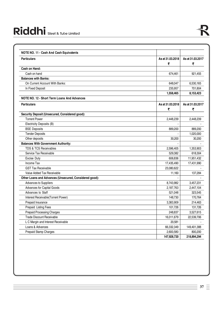| <b>Particulars</b>                                     | As at 31.03.2018      | As at 31.03.2017      |
|--------------------------------------------------------|-----------------------|-----------------------|
| Cash on Hand:                                          | ₹                     | ₹                     |
| Cash on hand                                           | 674,461               | 921,455               |
| <b>Balances with Banks:</b>                            |                       |                       |
| On Current Account With Banks:                         | 648,047               | 6,530,165             |
| In Fixed Deposit                                       | 235,957               | 701,804               |
|                                                        | 1,558,465             | 8,153,423             |
| NOTE NO. 12 - Short Term Loans And Advances            |                       |                       |
| <b>Particulars</b>                                     | As at 31.03.2018<br>₹ | As at 31.03.2017<br>₹ |
| Security Deposit (Unsecured, Considered good):         |                       |                       |
| <b>Torrent Power</b>                                   | 2,448,239             | 2,448,239             |
| Electricity Deposits (B)                               |                       |                       |
| <b>BSE Deposits</b>                                    | 889,200               | 889,200               |
| <b>Tender Deposits</b>                                 |                       | 1,020,000             |
| Other deposits                                         | 30.200                | 30,200                |
| <b>Balances With Government Authority:</b>             |                       |                       |
| <b>TDS &amp; TCS Receivables</b>                       | 2,596,405             | 1,353,903             |
| Service Tax Receivable                                 | 529,382               | 618,304               |
| Excise Duty                                            | 606,836               | 11,951,432            |
| Income Tax                                             | 17,435,490            | 17,431,990            |
| <b>GST Tax Receivable</b>                              | 23,080,622            |                       |
| Value Added Tax Receivable                             | 11,160                | 137,284               |
| Other Loans and Advances (Unsecured, Considered good): |                       |                       |
| Advances to Suppliers                                  | 8,743,982             | 3,457,231             |
| <b>Advances for Capital Goods</b>                      | 2,187,763             | 2,447,104             |
| Advances to Staff                                      | 521,048               | 323,545               |
| Interest Receivable (Torrent Power)                    | 148.730               | 170.764               |
| Prepaid Insurance                                      | 3,383,909             | 214,463               |
| Prepaid Listing Fees                                   | 101,726               | 131,726               |
| Prepaid Processing Charges                             | 248,837               | 3,527,615             |
| <b>Trade Discount Receivable</b>                       | 16,011,679            | 22,539,706            |
| L C Margin and Interest Receivable                     | 20,581                |                       |
| Loans & Advances                                       | 66,332,349            | 149,401,388           |
| Prepaid Stamp Charges                                  | 2,600,580             | 800,200               |
|                                                        | 147,928,720           | 218,894,294           |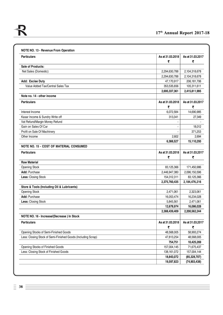| <b>Particulars</b>                                           | As at 31.03.2018<br>₹ | As at 31.03.2017<br>₹ |
|--------------------------------------------------------------|-----------------------|-----------------------|
| Sale of Products:                                            |                       |                       |
| Net Sales (Domestic):                                        | 2,294,630,788         | 2,104,318,678         |
|                                                              | 2,294,630,788         | 2,104,318,678         |
| Add: Excise Duty                                             | 47,170,917            | 206, 181, 706         |
| Value Added Tax/Central Sales Tax                            | 353,535,656           | 105,311,611           |
|                                                              | 2,695,337,361         | 2,415,811,995         |
| Note no. 14 - other income                                   |                       |                       |
| <b>Particulars</b>                                           | As at 31.03.2018<br>₹ | As at 31.03.2017<br>₹ |
| Interest Income                                              | 6,072,584             | 14,690,985            |
| Kasar Income & Sundry Write off                              | 313,341               | 27,349                |
| Vat Refund/Margin Money Refund                               |                       |                       |
| Gain on Sales Of Car                                         |                       | 18,012                |
| Profit on Sale Of Machinery                                  |                       | 371,253               |
| Other Income                                                 | 2,602                 | 2,694                 |
|                                                              | 6,388,527             | 15,110,293            |
| NOTE NO. 15 - COST OF MATERIAL CONSUMED                      |                       |                       |
| <b>Particulars</b>                                           | As at 31.03.2018<br>₹ | As at 31.03.2017<br>₹ |
| <b>Raw Material</b>                                          |                       |                       |
| <b>Opening Stock</b>                                         | 83,125,366            | 171,450,986           |
| Add: Purchase                                                | 2,446,947,380         | 2,096,150,596         |
| Less: Closing Stock                                          | 154,312,311           | 83,125,366            |
|                                                              | 2,375,760,435         | 2,184,476,216         |
| Store & Tools (Including Oil & Lubricants)                   |                       |                       |
| <b>Opening Stock</b>                                         | 2,471,061             | 2,323,061             |
| Add: Purchase                                                | 16,053,474            | 16,234,028            |
| Less: Closing Stock                                          | 5,845,561             | 2,471,061             |
|                                                              | 12,678,974            | 16,086,028            |
|                                                              | 2,388,439,409         | 2,200,562,244         |
| NOTE NO. 16 - Increase/(Decrease) In Stock                   |                       |                       |
| <b>Particulars</b>                                           | As at 31.03.2018<br>₹ | As at 31.03.2017<br>₹ |
| Opening Stocks of Semi-Finished Goods                        | 48,568,005            | 58,993,274            |
| Less: Closing Stock of Semi-Finished Goods (Including Scrap) | 47,813,254            | 48,568,005            |
|                                                              | 754,751               | 10,425,269            |
| Opening Stocks of Finished Goods                             | 157,004,145           | 71,675,437            |
|                                                              | 138, 161, 072         | 157,004,144           |
| Less: Closing Stock of Finished Goods                        |                       |                       |
|                                                              | 18,843,072            | (85, 328, 707)        |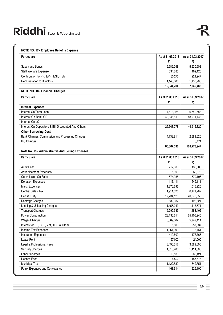| NOTE NO. 17 - Employee Benefits Expense             |                       |                       |
|-----------------------------------------------------|-----------------------|-----------------------|
| <b>Particulars</b>                                  | As at 31.03.2018<br>₹ | As at 31.03.2017<br>₹ |
| Salary and Bonus                                    | 9,986,048             | 5,520,908             |
| Staff Welfare Expense                               | 834,883               | 169,128               |
| Contribution to PF, EPF, ESIC, Etc.                 | 83,273                | 221,247               |
| Remuneration to Directors                           | 1,140,000             | 1,135,200             |
|                                                     | 12,044,204            | 7,046,483             |
| <b>NOTE NO. 18 - Financial Charges</b>              |                       |                       |
| <b>Particulars</b>                                  | As at 31,03,2018<br>₹ | As at 31.03.2017<br>₹ |
| <b>Interest Expenses</b>                            |                       |                       |
| Interest On Term Loan                               | 4,613,925             | 6,752,588             |
| Interest On Bank OD                                 | 49,346,519            | 48,911,448            |
| Interest On LC                                      |                       |                       |
| Interest On Depositors & Bill Discounted And Others | 26,608,278            | 44,916,820            |
| <b>Other Borrowing Cost</b>                         |                       |                       |
| Bank Charges, Commission and Processing Charges     | 4,738,814             | 2,689,620             |
| <b>ILC Charges</b>                                  |                       | 6,471                 |
|                                                     | 85,307,536            | 103,276,947           |
| Note No. 19 - Administrative And Selling Expenses   |                       |                       |
| <b>Particulars</b>                                  | As at 31.03.2018      | As at 31.03.2017      |
|                                                     | ₹                     | ₹                     |
| <b>Audit Fees</b>                                   | 212,000               | 138,000               |
| Advertisement Expenses                              | 5,100                 | 60,373                |
| <b>Commission On Sales</b>                          | 574,935               | 579,106               |
| <b>Donation Expenses</b>                            | 116,111               | 649,111               |
| Misc. Expenses                                      | 1,370,695             | 1,015,225             |
| <b>Central Sales Tax</b>                            | 1,911,326             | 6,171,282             |
| <b>Excise Duty</b>                                  | 17,734,125            | 20,278,653            |
| Demrage Charges                                     | 832,937               | 193,824               |
| Loading & Unloading Charges                         | 1,455,043             | 1,413,571             |
| <b>Transport Charges</b>                            | 15,290,589            | 11,453,402            |
| Power Consumption                                   | 23,136,614            | 25,105,945            |
| <b>Wages Charges</b>                                | 3,369,002             | 5,949,414             |
| Interest on IT, CST, Vat, TDS & Other               | 5,300                 | 257,637               |
| Income Tax Expenses                                 | 1,061,909             | 918,451               |
| Insurance Expenses                                  | 419,609               | 173,765               |
| Lease Rent                                          | 67,000                | 24,000                |
| Legal & Professional Fees                           | 3,496,517             | 3,582,600             |
| <b>Security Charges</b>                             | 1,316,708             | 1,414,000             |
| Labour Charges                                      | 615,135               | 269,121               |
| Licence Fees                                        | 94,500                | 187,576               |
| Municipal Tax                                       | 1,122,589             | 542,351               |
| Petrol Expenses and Conveyance                      | 168,614               | 226,190               |
|                                                     |                       |                       |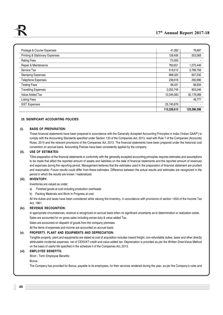|                                           | 115,226,615 | 120,396,306 |
|-------------------------------------------|-------------|-------------|
| <b>GST Expenses</b>                       | 25,745,876  |             |
| <b>Listing Fees</b>                       |             | 49,777      |
| Value Added Tax                           | 10,345,083  | 32,178,089  |
| <b>Travelling Expenses</b>                | 2,032,749   | 903,246     |
| <b>Testing Fees</b>                       | 66,431      | 68,934      |
| Telephone Expenses                        | 236,918     | 290,996     |
| <b>Stamping Expenses</b>                  | 898,320     | 607,200     |
| Service Tax                               | 519,512     | 3,788,756   |
| Repair & Maintenance                      | 760,651     | 1,275,446   |
| <b>Rating Fees</b>                        | 75,000      |             |
| <b>Printing &amp; Stationary Expenses</b> | 128,456     | 553,568     |
| Postage & Courier Expenses                | 41,262      | 76,697      |

## **20. SIGNIFICANT ACCOUNTING POLICIES**

#### **(i). BASIS OF PREPARATION:**

These financial statements have been prepared in accordance with the Generally Accepted Accounting Principles in India ('Indian GAAP') to comply with the Accounting Standards specified under Section 133 of the Companies Act, 2013, read with Rule 7 of the Companies (Accounts) Rules, 2014 and the relevant provisions of the Companies Act, 2013. The financial statements have been prepared under the historical cost convention on accrual basis. Accounting Policies have been consistently applied by the company.

#### **(ii). USE OF ESTIMATES:**

T0he preparation of the financial statements in conformity with the generally accepted accounting principles requires estimates and assumptions to be made that affect the reported amount of assets and liabilities on the date of financial statements and the reported amount of revenues and expenses during the reporting period. Management believes that the estimates used in the preparation of financial statement are prudent and reasonable. Future results could differ from these estimates. Difference between the actual results and estimates are recognized in the period in which the results are known / materialized.

## **(iii). INVENTORY:**

Inventories are valued as under;

- a) Finished goods at cost including production overheads.
- b) Packing Materials and Work In Progress at cost.

All the duties and taxes have been considered while valuing the inventory, in accordance with provisions of section 145A of the Income Tax Act, 1961.

#### **(iv). REVENUE RECOGNITION:**

In appropriate circumstances, revenue is recognized on accrual basis when no significant uncertainty as to determination or realization exists. Sales are accounted for on gross sales including excise duty & value added Tax.

Sales are accounted on dispatch of goods from the company premises.

All the items of expenses and income are accounted on accrual basis.

#### **(v). PROPERTY, PLANT AND EQUIPMENTS AND DEPRECIATION:**

Tangible property, plant and equipments are stated at cost of acquisition includes inward freight, non-refundable duties, taxes and other directly attributable incidental expenses, net of CENVAT credit and value added tax. Depreciation is provided as per the Written DownValue Method on the basis of useful life specified in the schedule II of the Companies Act, 2013.

#### **(vi). EMPLOYEE BENEFITS:**

Short - Term Employee Benefits:

Bonus :

The Company has provided for Bonus, payable to its employees, for their services rendered during the year, as per the Company's rules and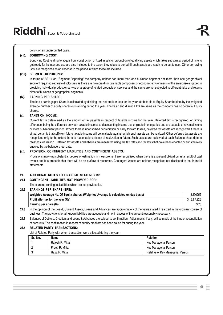#### policy, on an undiscounted basis.

## **(vii). BORROWING COST:**

Borrowing Cost relating to acquisition, construction of fixed assets or production of qualifying assets which takes substantial period of time to get ready for its intended use are also included to the extent they relate to period till such assets are ready to be put to use . Other borrowing Cost are recognized as an expense in the period in which these are incurred.

## **(viii). SEGMENT REPORTING:**

In terms of AS-17 on "Segment Reporting" the company neither has more than one business segment nor more than one geographical segment requiring separate disclosures as there are no more distinguishable component or economic environments of the enterprise engaged in providing individual product or service or a group of related products or services and the same are not subjected to different risks and returns either of business or geographical segments.

## **(ix). EARNING PER SHARE:**

The basic earnings per Share is calculated by dividing the Net profit or loss for the year attributable to Equity Shareholders by the weighted average number of equity shares outstanding during the year. The basic and diluted EPS are same as the company has no potential Equity shares.

#### **(x). TAXES ON INCOME:**

Current tax is determined as the amount of tax payable in respect of taxable income for the year. Deferred tax is recognized, on timing difference, being the difference between taxable incomes and accounting income that originate in one period and are capable of reversal in one or more subsequent periods. Where there is unabsorbed depreciation or carry forward losses, deferred tax assets are recognized if there is virtual certainty that sufficient future taxable income will be available against which such assets can be realized. Other deferred tax assets are recognized only to the extent there is reasonable certainty of realization in future. Such assets are reviewed at each Balance sheet date to reassess realization. Deferred tax assets and liabilities are measured using the tax rates and tax laws that have been enacted or substantively enacted by the balance sheet date.

#### **(xi). PROVISION, CONTINGENT LIABILITIES AND CONTINGENT ASSETS:**

Provisions involving substantial degree of estimation in measurement are recognized when there is a present obligation as a result of past events and it is probable that there will be an outflow of resources. Contingent Assets are neither recognized nor disclosed in the financial statements.

## **21. ADDITIONAL NOTES TO FINANCIAL STATEMENTS:**

#### **21.1 CONTINGENT LIABILITIES NOT PROVIDED FOR:**

There are no contingent liabilities which are not provided for.

#### **21.2 EARNINGS PER SHARE (EPS):**

| Weighted Average No. Of Equity shares. (Weighted Average is calculated on day basis) | 8290252     |
|--------------------------------------------------------------------------------------|-------------|
| Profit after tax for the year (Rs)                                                   | 3.13.67.226 |
| Earning per share (Rs.)                                                              | 3.78        |

**21.3** In the opinion of the Board, Current Assets, Loans and Advances are approximately of the value stated if realized in the ordinary course of business. The provisions for all known liabilities are adequate and not in excess of the amount reasonably necessary.

**21.4** Balances of Debtors, Creditors and Loans & Advances are subject to confirmation. Adjustments, if any, will be made at the time of reconciliation of accounts. The confirmation in respect of sundry creditors has been called for during the year.

#### **21.5 RELATED PARTY TRANSACTIONS:**

List of Related Party with whom transaction were effected during the year :

| Sr. No. | Name             | <b>Relation</b>                   |  |
|---------|------------------|-----------------------------------|--|
|         | Raiesh R. Mittal | Key Managerial Person             |  |
|         | Preeti R. Mittal | Key Managerial Person             |  |
|         | Raiat R. Mittal  | Relative of Key Managerial Person |  |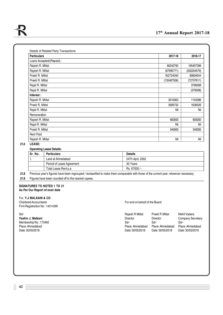| <b>Particulars</b>        | 2017-18     | 2016-17     |
|---------------------------|-------------|-------------|
| Loans Accepted/(Repaid) : |             |             |
| Rajesh R. Mittal          | 80242792    | 195407399   |
| Rajesh R. Mittal          | (67995771)  | (202204579) |
| Preeti R. Mittal          | 162724093   | 80604544    |
| Preeti R. Mittal          | (135487506) | (72707611)  |
| Rajat R. Mittal           | ٠           | 3790008     |
| Rajat R. Mittal           | ٠           | (379008)    |
| Interest:                 |             |             |
| Rajesh R. Mittal          | 3010063     | 1153396     |
| Preeti R. Mittal          | 3926732     | 1636526     |
| Rajat R. Mittal           | Nil         | Nil         |
| Remuneration              |             |             |
| Rajesh R. Mittal          | 600000      | 600000      |
| Rajat R. Mittal           | Nil         | Nil         |
| Preeti R. Mittal          | 540000      | 540000      |
| <b>Rent Paid</b>          |             |             |
| Rajesh R. Mittal          | Nil         | Nil         |

#### **21.6 LEASE:**

#### **Operating Lease Details:**

| <sup>I</sup> Sr. No. | <b>Particulars</b>        | <b>Details</b>   |
|----------------------|---------------------------|------------------|
|                      | Land at Ahmedabad         | 24Th April, 2002 |
|                      | Period of Lease Agreement | 30 Years         |
|                      | Total Lease Rent p.a      | Rs. 67000 /-     |

**21.8** Previous year's figures have been regrouped / reclassified to make them comparable with those of the current year, wherever necessary.

**21.9** Figures have been rounded off to the nearest rupees.

#### **SIGNATURES TO NOTES 1 TO 21 As Per Our Report of even date**

## For, **Y.J MALKANI & CO**

Firm Registration No : 143143W

For and on behalf of the Board

Sd/-<br>
Rajesh R Mittal Preeti R Mittal Nikhil Vadera **Yashin J. Malkani** Director **Director** Director Director Company Secretary Director Company Secretary Director Director Company Secretary Director Director Company Secretary Secretary Secretary Secretary Secretary Secreta Membership No.: 173492 Sd/- Sd/- Sd/- Place: Ahmedabad Place: Ahmedabad Place: Ahmedabad Place: Ahmedabad Place: Ahmedabad Place: Ahmedabad Place: Ahmedabad Date: 30/05/2018 Date: 30/05/2018 Date: 30/05/2018 Date: 30/05/2018 Date: 30/05/2018 Date: 30/05/2018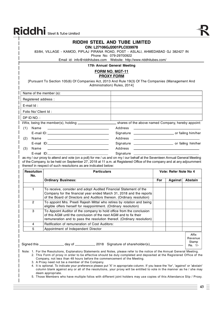|                  |                                                                                                                                                                                                                                                                     | RIDDHI STEEL AND TUBE LIMITED<br>CIN: L27106GJ2001PLC039978<br>83/84, VILLAGE - KAMOD, PIPLAJ PIRANA ROAD, POST - ASLALI, AHMEDABAD GJ 382427 IN<br>Phone No: 079-29700922                                                                                                                                                                                                                                                                                                                                                                                                                                                                                            |     |         |                                      |
|------------------|---------------------------------------------------------------------------------------------------------------------------------------------------------------------------------------------------------------------------------------------------------------------|-----------------------------------------------------------------------------------------------------------------------------------------------------------------------------------------------------------------------------------------------------------------------------------------------------------------------------------------------------------------------------------------------------------------------------------------------------------------------------------------------------------------------------------------------------------------------------------------------------------------------------------------------------------------------|-----|---------|--------------------------------------|
|                  |                                                                                                                                                                                                                                                                     |                                                                                                                                                                                                                                                                                                                                                                                                                                                                                                                                                                                                                                                                       |     |         |                                      |
|                  |                                                                                                                                                                                                                                                                     | 17th Annual General Meeting                                                                                                                                                                                                                                                                                                                                                                                                                                                                                                                                                                                                                                           |     |         |                                      |
|                  |                                                                                                                                                                                                                                                                     | <b>FORM NO. MGT-11</b><br><b>PROXY FORM</b><br>[Pursuant To Section 105(6) Of Companies Act, 2013 And Rule 19(3) Of The Companies (Management And<br>Administration) Rules, 2014]                                                                                                                                                                                                                                                                                                                                                                                                                                                                                     |     |         |                                      |
|                  |                                                                                                                                                                                                                                                                     | Name of the member (s):                                                                                                                                                                                                                                                                                                                                                                                                                                                                                                                                                                                                                                               |     |         |                                      |
|                  | Registered address :                                                                                                                                                                                                                                                |                                                                                                                                                                                                                                                                                                                                                                                                                                                                                                                                                                                                                                                                       |     |         |                                      |
| $E$ -mail $Id$ : |                                                                                                                                                                                                                                                                     |                                                                                                                                                                                                                                                                                                                                                                                                                                                                                                                                                                                                                                                                       |     |         |                                      |
|                  | Folio No/ Client Id:                                                                                                                                                                                                                                                |                                                                                                                                                                                                                                                                                                                                                                                                                                                                                                                                                                                                                                                                       |     |         |                                      |
|                  | DP ID NO.:                                                                                                                                                                                                                                                          |                                                                                                                                                                                                                                                                                                                                                                                                                                                                                                                                                                                                                                                                       |     |         |                                      |
|                  |                                                                                                                                                                                                                                                                     |                                                                                                                                                                                                                                                                                                                                                                                                                                                                                                                                                                                                                                                                       |     |         |                                      |
| (1)              | Name                                                                                                                                                                                                                                                                | Address<br><u> 1989 - Johann Harry Harry Harry Harry Harry Harry Harry Harry Harry Harry Harry Harry Harry Harry Harry Harry Harry Harry Harry Harry Harry Harry Harry Harry Harry Harry Harry Harry Harry Harry Harry Harry Harry Harry Ha</u><br><u> 1989 - Johann Harry Harry Harry Harry Harry Harry Harry Harry Harry Harry Harry Harry Harry Harry Harry Harry</u>                                                                                                                                                                                                                                                                                              |     |         |                                      |
|                  |                                                                                                                                                                                                                                                                     |                                                                                                                                                                                                                                                                                                                                                                                                                                                                                                                                                                                                                                                                       |     |         |                                      |
| (2)              | Name                                                                                                                                                                                                                                                                | <u>and the state of the state of the state of the state of the state of the state of the state of the state of the state of the state of the state of the state of the state of the state of the state of the state of the state</u>                                                                                                                                                                                                                                                                                                                                                                                                                                  |     |         |                                      |
|                  |                                                                                                                                                                                                                                                                     |                                                                                                                                                                                                                                                                                                                                                                                                                                                                                                                                                                                                                                                                       |     |         |                                      |
| (3)              | Name                                                                                                                                                                                                                                                                | Address<br><u> 1999 - Johann John Stein, markin fan it ferskearre fan it ferskearre fan it ferskearre fan it ferskearre fan</u><br><u> 1989 - Andrea Stadt Britain, amerikansk politiker (</u><br>E-mail ID:                                                                                                                                                                                                                                                                                                                                                                                                                                                          |     |         |                                      |
|                  | of the Company, to be held on September 27, 2018 at 11 a.m. at Registered Office of the company and at any adjournment<br>thereof in respect of such resolutions as are indicated below:<br><b>Resolution</b><br><b>Particulars</b><br>Vote: Refer Note No 4<br>No. |                                                                                                                                                                                                                                                                                                                                                                                                                                                                                                                                                                                                                                                                       |     |         |                                      |
|                  |                                                                                                                                                                                                                                                                     | <b>Ordinary Business:</b>                                                                                                                                                                                                                                                                                                                                                                                                                                                                                                                                                                                                                                             | For | Against | Abstain                              |
|                  |                                                                                                                                                                                                                                                                     |                                                                                                                                                                                                                                                                                                                                                                                                                                                                                                                                                                                                                                                                       |     |         |                                      |
|                  | $\mathbf{1}$                                                                                                                                                                                                                                                        | To receive, consider and adopt Audited Financial Statement of the<br>Company for the financial year ended March 31, 2018 and the reports<br>of the Board of Directors and Auditors thereon. (Ordinary resolution)                                                                                                                                                                                                                                                                                                                                                                                                                                                     |     |         |                                      |
|                  | 2                                                                                                                                                                                                                                                                   | To appoint Mrs. Preeti Rajesh Mittal who retires by rotation and being<br>eligible offers herself for reappointment. (Ordinary resolution)                                                                                                                                                                                                                                                                                                                                                                                                                                                                                                                            |     |         |                                      |
|                  | 3                                                                                                                                                                                                                                                                   | To Appoint Auditor of the company to hold office from the conclusion<br>of this AGM until the conclusion of the next AGM and to fix their<br>remuneration and to pass the resolution thereof. (Ordinary resolution)                                                                                                                                                                                                                                                                                                                                                                                                                                                   |     |         |                                      |
|                  | 4                                                                                                                                                                                                                                                                   | Ratification of remuneration of Cost Auditors:                                                                                                                                                                                                                                                                                                                                                                                                                                                                                                                                                                                                                        |     |         |                                      |
|                  | 5                                                                                                                                                                                                                                                                   | Appointment of Independent Director                                                                                                                                                                                                                                                                                                                                                                                                                                                                                                                                                                                                                                   |     |         |                                      |
|                  |                                                                                                                                                                                                                                                                     |                                                                                                                                                                                                                                                                                                                                                                                                                                                                                                                                                                                                                                                                       |     |         | Affix<br>Revenue<br>Stamp<br>Re. 1/- |
|                  |                                                                                                                                                                                                                                                                     | Note: 1. For the Resolutions, Explanatory Statements and Notes, please refer to the notice of the Annual General Meeting.<br>2. This Form of proxy in order to be effective should be duly completed and deposited at the Registered Office of the<br>Company, not less than 48 hours before the commencement of the Meeting.<br>3. A Proxy need not be a member of the Company.<br>4. It is optional. To indicate your preference please put 'X' in appropriate column. If you leave the 'for', 'against' or 'abstain'<br>column blank against any or all of the resolutions, your proxy will be entitled to vote in the manner as he / she may<br>deem appropriate. |     |         |                                      |

5. Those Members who have multiple folios with different joint holders may use copies of this Attendance Slip / Proxy.